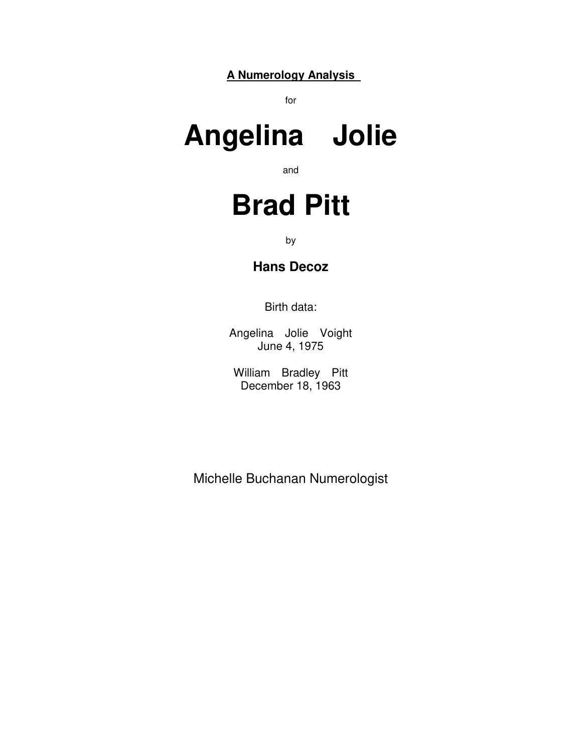**A Numerology Analysis** 

for

# **Angelina Jolie**

and

# **Brad Pitt**

by

# **Hans Decoz**

Birth data:

Angelina Jolie Voight June 4, 1975

William Bradley Pitt December 18, 1963

Michelle Buchanan Numerologist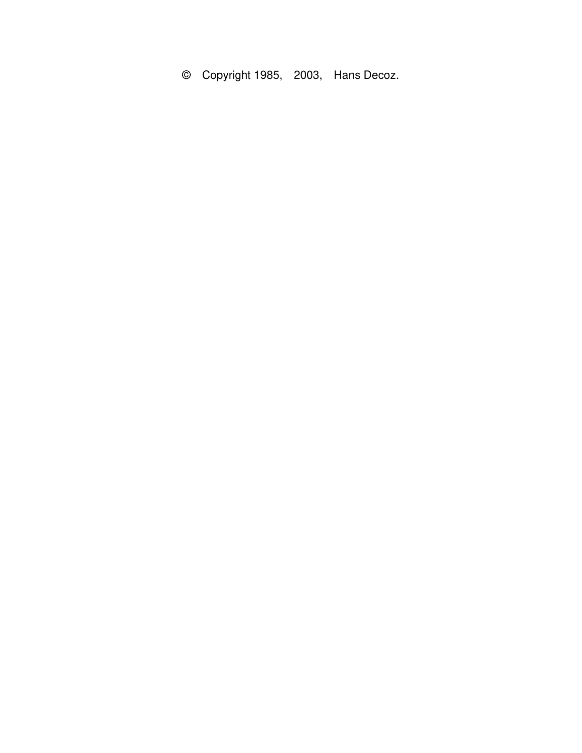© Copyright 1985, 2003, Hans Decoz.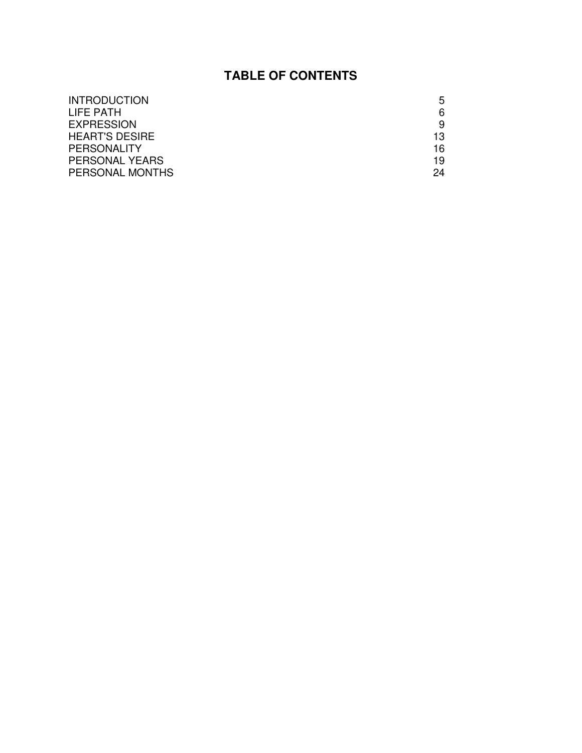# **TABLE OF CONTENTS**

| <b>INTRODUCTION</b>   | 5. |
|-----------------------|----|
| LIFE PATH             | 6  |
| <b>EXPRESSION</b>     | 9  |
| <b>HEART'S DESIRE</b> | 13 |
| <b>PERSONALITY</b>    | 16 |
| PERSONAL YEARS        | 19 |
| PERSONAL MONTHS       | 24 |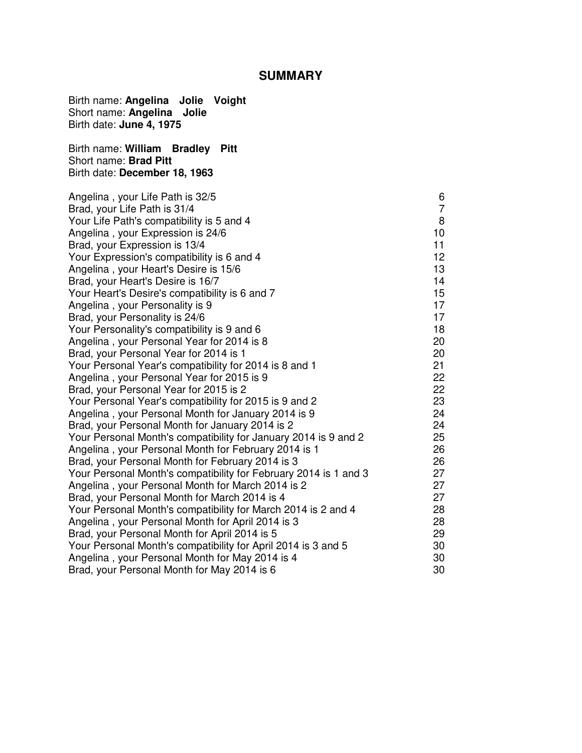# **SUMMARY**

Birth name: **Angelina Jolie Voight** Short name: **Angelina Jolie** Birth date: **June 4, 1975** 

Birth name: **William Bradley Pitt** Short name: **Brad Pitt** Birth date: **December 18, 1963**

| Angelina, your Life Path is 32/5                                 | 6               |
|------------------------------------------------------------------|-----------------|
| Brad, your Life Path is 31/4                                     | $\overline{7}$  |
| Your Life Path's compatibility is 5 and 4                        | 8               |
| Angelina, your Expression is 24/6                                | 10 <sub>1</sub> |
| Brad, your Expression is 13/4                                    | 11              |
| Your Expression's compatibility is 6 and 4                       | 12              |
| Angelina, your Heart's Desire is 15/6                            | 13              |
| Brad, your Heart's Desire is 16/7                                | 14              |
| Your Heart's Desire's compatibility is 6 and 7                   | 15              |
| Angelina, your Personality is 9                                  | 17              |
| Brad, your Personality is 24/6                                   | 17              |
| Your Personality's compatibility is 9 and 6                      | 18              |
| Angelina, your Personal Year for 2014 is 8                       | 20              |
| Brad, your Personal Year for 2014 is 1                           | 20              |
| Your Personal Year's compatibility for 2014 is 8 and 1           | 21              |
| Angelina, your Personal Year for 2015 is 9                       | 22              |
| Brad, your Personal Year for 2015 is 2                           | 22              |
| Your Personal Year's compatibility for 2015 is 9 and 2           | 23              |
| Angelina, your Personal Month for January 2014 is 9              | 24              |
| Brad, your Personal Month for January 2014 is 2                  | 24              |
| Your Personal Month's compatibility for January 2014 is 9 and 2  | 25              |
| Angelina, your Personal Month for February 2014 is 1             | 26              |
| Brad, your Personal Month for February 2014 is 3                 | 26              |
| Your Personal Month's compatibility for February 2014 is 1 and 3 | 27              |
| Angelina, your Personal Month for March 2014 is 2                | 27              |
| Brad, your Personal Month for March 2014 is 4                    | 27              |
| Your Personal Month's compatibility for March 2014 is 2 and 4    | 28              |
| Angelina, your Personal Month for April 2014 is 3                | 28              |
| Brad, your Personal Month for April 2014 is 5                    | 29              |
| Your Personal Month's compatibility for April 2014 is 3 and 5    | 30              |
| Angelina, your Personal Month for May 2014 is 4                  | 30              |
| Brad, your Personal Month for May 2014 is 6                      | 30              |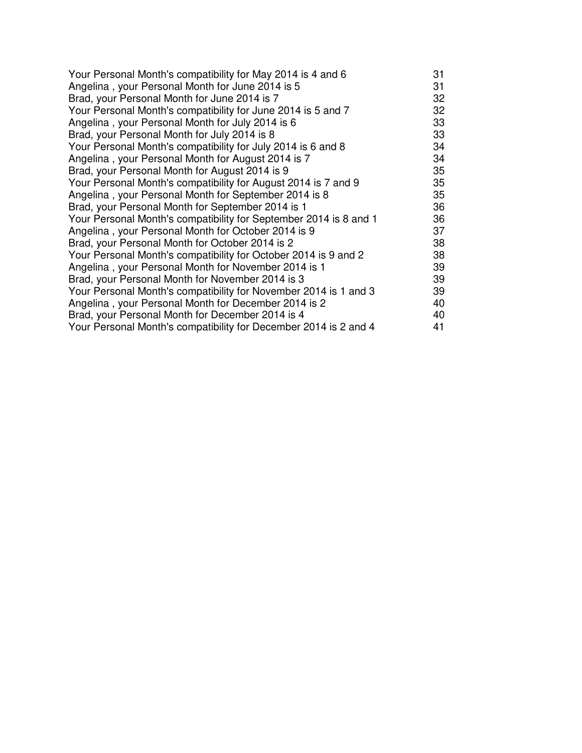| Your Personal Month's compatibility for May 2014 is 4 and 6<br>31 |    |
|-------------------------------------------------------------------|----|
| Angelina, your Personal Month for June 2014 is 5                  | 31 |
| Brad, your Personal Month for June 2014 is 7                      | 32 |
| Your Personal Month's compatibility for June 2014 is 5 and 7      | 32 |
| Angelina, your Personal Month for July 2014 is 6                  | 33 |
| Brad, your Personal Month for July 2014 is 8                      | 33 |
| Your Personal Month's compatibility for July 2014 is 6 and 8      | 34 |
| Angelina, your Personal Month for August 2014 is 7                | 34 |
| Brad, your Personal Month for August 2014 is 9                    | 35 |
| Your Personal Month's compatibility for August 2014 is 7 and 9    | 35 |
| Angelina, your Personal Month for September 2014 is 8             | 35 |
| Brad, your Personal Month for September 2014 is 1                 | 36 |
| Your Personal Month's compatibility for September 2014 is 8 and 1 | 36 |
| Angelina, your Personal Month for October 2014 is 9               | 37 |
| Brad, your Personal Month for October 2014 is 2                   | 38 |
| Your Personal Month's compatibility for October 2014 is 9 and 2   | 38 |
| Angelina, your Personal Month for November 2014 is 1              | 39 |
| Brad, your Personal Month for November 2014 is 3                  | 39 |
| Your Personal Month's compatibility for November 2014 is 1 and 3  | 39 |
| Angelina, your Personal Month for December 2014 is 2              | 40 |
| Brad, your Personal Month for December 2014 is 4                  | 40 |
| Your Personal Month's compatibility for December 2014 is 2 and 4  | 41 |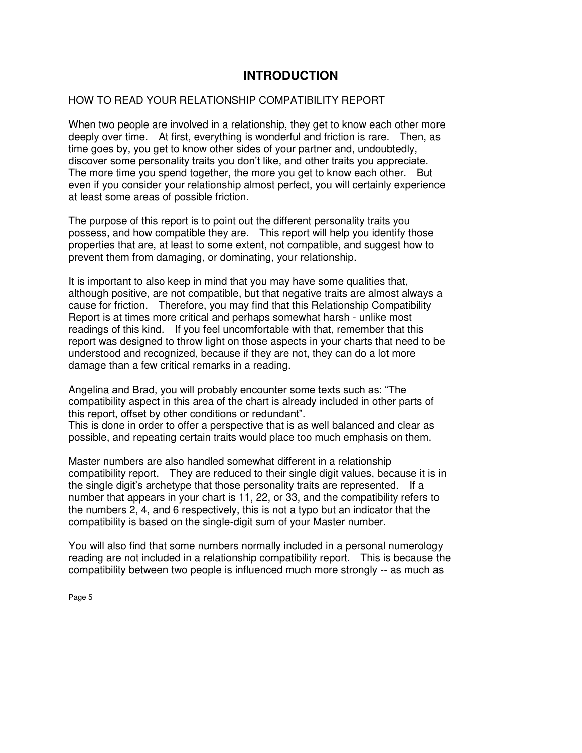# **INTRODUCTION**

# HOW TO READ YOUR RELATIONSHIP COMPATIBILITY REPORT

When two people are involved in a relationship, they get to know each other more deeply over time. At first, everything is wonderful and friction is rare. Then, as time goes by, you get to know other sides of your partner and, undoubtedly, discover some personality traits you don't like, and other traits you appreciate. The more time you spend together, the more you get to know each other. But even if you consider your relationship almost perfect, you will certainly experience at least some areas of possible friction.

The purpose of this report is to point out the different personality traits you possess, and how compatible they are. This report will help you identify those properties that are, at least to some extent, not compatible, and suggest how to prevent them from damaging, or dominating, your relationship.

It is important to also keep in mind that you may have some qualities that, although positive, are not compatible, but that negative traits are almost always a cause for friction. Therefore, you may find that this Relationship Compatibility Report is at times more critical and perhaps somewhat harsh - unlike most readings of this kind. If you feel uncomfortable with that, remember that this report was designed to throw light on those aspects in your charts that need to be understood and recognized, because if they are not, they can do a lot more damage than a few critical remarks in a reading.

Angelina and Brad, you will probably encounter some texts such as: "The compatibility aspect in this area of the chart is already included in other parts of this report, offset by other conditions or redundant".

This is done in order to offer a perspective that is as well balanced and clear as possible, and repeating certain traits would place too much emphasis on them.

Master numbers are also handled somewhat different in a relationship compatibility report. They are reduced to their single digit values, because it is in the single digit's archetype that those personality traits are represented. If a number that appears in your chart is 11, 22, or 33, and the compatibility refers to the numbers 2, 4, and 6 respectively, this is not a typo but an indicator that the compatibility is based on the single-digit sum of your Master number.

You will also find that some numbers normally included in a personal numerology reading are not included in a relationship compatibility report. This is because the compatibility between two people is influenced much more strongly -- as much as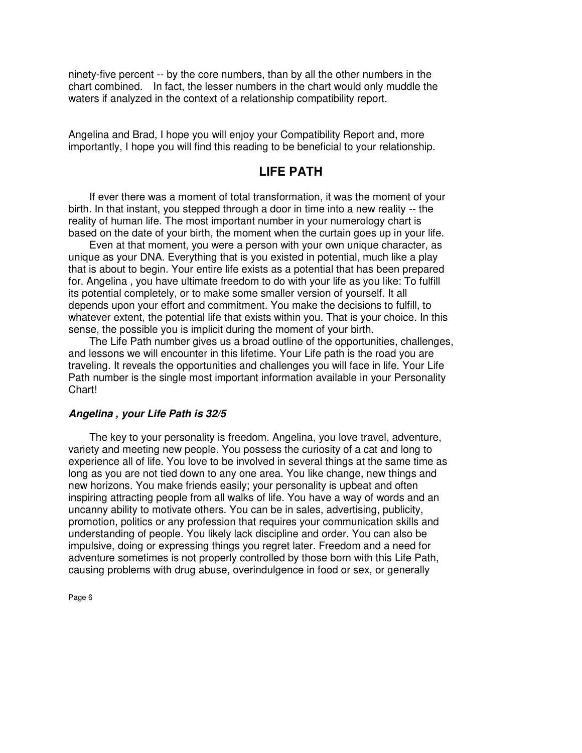ninety-five percent -- by the core numbers, than by all the other numbers in the chart combined. In fact, the lesser numbers in the chart would only muddle the waters if analyzed in the context of a relationship compatibility report.

Angelina and Brad, I hope you will enjoy your Compatibility Report and, more importantly, I hope you will find this reading to be beneficial to your relationship.

# **LIFE PATH**

 If ever there was a moment of total transformation, it was the moment of your birth. In that instant, you stepped through a door in time into a new reality -- the reality of human life. The most important number in your numerology chart is based on the date of your birth, the moment when the curtain goes up in your life.

 Even at that moment, you were a person with your own unique character, as unique as your DNA. Everything that is you existed in potential, much like a play that is about to begin. Your entire life exists as a potential that has been prepared for. Angelina , you have ultimate freedom to do with your life as you like: To fulfill its potential completely, or to make some smaller version of yourself. It all depends upon your effort and commitment. You make the decisions to fulfill, to whatever extent, the potential life that exists within you. That is your choice. In this sense, the possible you is implicit during the moment of your birth.

 The Life Path number gives us a broad outline of the opportunities, challenges, and lessons we will encounter in this lifetime. Your Life path is the road you are traveling. It reveals the opportunities and challenges you will face in life. Your Life Path number is the single most important information available in your Personality Chart!

#### *Angelina , your Life Path is 32/5*

 The key to your personality is freedom. Angelina, you love travel, adventure, variety and meeting new people. You possess the curiosity of a cat and long to experience all of life. You love to be involved in several things at the same time as long as you are not tied down to any one area. You like change, new things and new horizons. You make friends easily; your personality is upbeat and often inspiring attracting people from all walks of life. You have a way of words and an uncanny ability to motivate others. You can be in sales, advertising, publicity, promotion, politics or any profession that requires your communication skills and understanding of people. You likely lack discipline and order. You can also be impulsive, doing or expressing things you regret later. Freedom and a need for adventure sometimes is not properly controlled by those born with this Life Path, causing problems with drug abuse, overindulgence in food or sex, or generally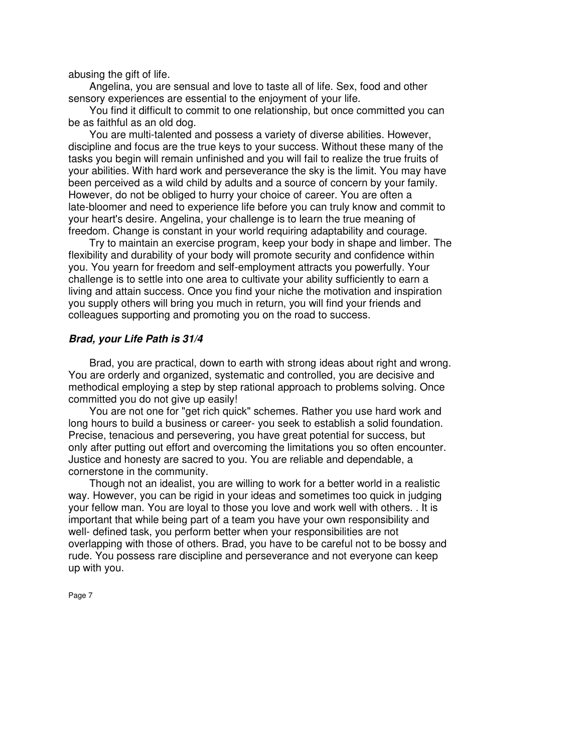abusing the gift of life.

 Angelina, you are sensual and love to taste all of life. Sex, food and other sensory experiences are essential to the enjoyment of your life.

 You find it difficult to commit to one relationship, but once committed you can be as faithful as an old dog.

 You are multi-talented and possess a variety of diverse abilities. However, discipline and focus are the true keys to your success. Without these many of the tasks you begin will remain unfinished and you will fail to realize the true fruits of your abilities. With hard work and perseverance the sky is the limit. You may have been perceived as a wild child by adults and a source of concern by your family. However, do not be obliged to hurry your choice of career. You are often a late-bloomer and need to experience life before you can truly know and commit to your heart's desire. Angelina, your challenge is to learn the true meaning of freedom. Change is constant in your world requiring adaptability and courage.

 Try to maintain an exercise program, keep your body in shape and limber. The flexibility and durability of your body will promote security and confidence within you. You yearn for freedom and self-employment attracts you powerfully. Your challenge is to settle into one area to cultivate your ability sufficiently to earn a living and attain success. Once you find your niche the motivation and inspiration you supply others will bring you much in return, you will find your friends and colleagues supporting and promoting you on the road to success.

#### *Brad, your Life Path is 31/4*

 Brad, you are practical, down to earth with strong ideas about right and wrong. You are orderly and organized, systematic and controlled, you are decisive and methodical employing a step by step rational approach to problems solving. Once committed you do not give up easily!

 You are not one for "get rich quick" schemes. Rather you use hard work and long hours to build a business or career- you seek to establish a solid foundation. Precise, tenacious and persevering, you have great potential for success, but only after putting out effort and overcoming the limitations you so often encounter. Justice and honesty are sacred to you. You are reliable and dependable, a cornerstone in the community.

 Though not an idealist, you are willing to work for a better world in a realistic way. However, you can be rigid in your ideas and sometimes too quick in judging your fellow man. You are loyal to those you love and work well with others. . It is important that while being part of a team you have your own responsibility and well- defined task, you perform better when your responsibilities are not overlapping with those of others. Brad, you have to be careful not to be bossy and rude. You possess rare discipline and perseverance and not everyone can keep up with you.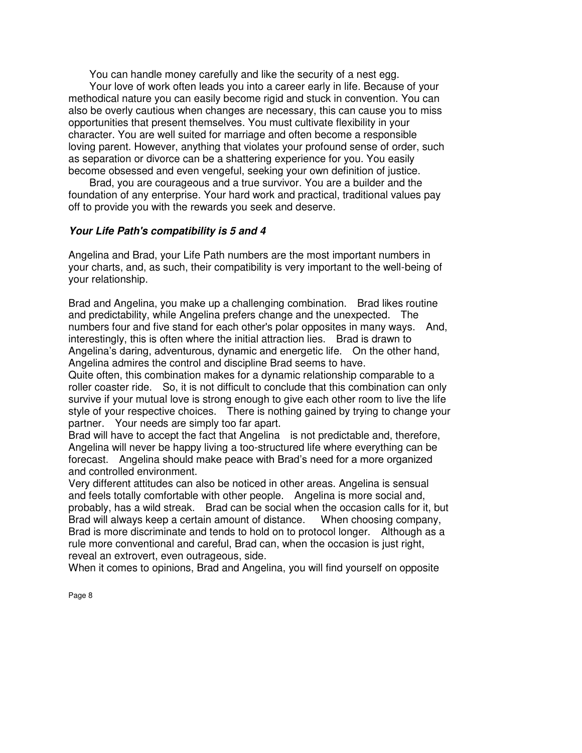You can handle money carefully and like the security of a nest egg.

 Your love of work often leads you into a career early in life. Because of your methodical nature you can easily become rigid and stuck in convention. You can also be overly cautious when changes are necessary, this can cause you to miss opportunities that present themselves. You must cultivate flexibility in your character. You are well suited for marriage and often become a responsible loving parent. However, anything that violates your profound sense of order, such as separation or divorce can be a shattering experience for you. You easily become obsessed and even vengeful, seeking your own definition of justice.

 Brad, you are courageous and a true survivor. You are a builder and the foundation of any enterprise. Your hard work and practical, traditional values pay off to provide you with the rewards you seek and deserve.

## *Your Life Path's compatibility is 5 and 4*

Angelina and Brad, your Life Path numbers are the most important numbers in your charts, and, as such, their compatibility is very important to the well-being of your relationship.

Brad and Angelina, you make up a challenging combination. Brad likes routine and predictability, while Angelina prefers change and the unexpected. The numbers four and five stand for each other's polar opposites in many ways. And, interestingly, this is often where the initial attraction lies. Brad is drawn to Angelina's daring, adventurous, dynamic and energetic life. On the other hand, Angelina admires the control and discipline Brad seems to have.

Quite often, this combination makes for a dynamic relationship comparable to a roller coaster ride. So, it is not difficult to conclude that this combination can only survive if your mutual love is strong enough to give each other room to live the life style of your respective choices. There is nothing gained by trying to change your partner. Your needs are simply too far apart.

Brad will have to accept the fact that Angelina is not predictable and, therefore, Angelina will never be happy living a too-structured life where everything can be forecast. Angelina should make peace with Brad's need for a more organized and controlled environment.

Very different attitudes can also be noticed in other areas. Angelina is sensual and feels totally comfortable with other people. Angelina is more social and, probably, has a wild streak. Brad can be social when the occasion calls for it, but Brad will always keep a certain amount of distance. When choosing company, Brad is more discriminate and tends to hold on to protocol longer. Although as a rule more conventional and careful, Brad can, when the occasion is just right, reveal an extrovert, even outrageous, side.

When it comes to opinions, Brad and Angelina, you will find yourself on opposite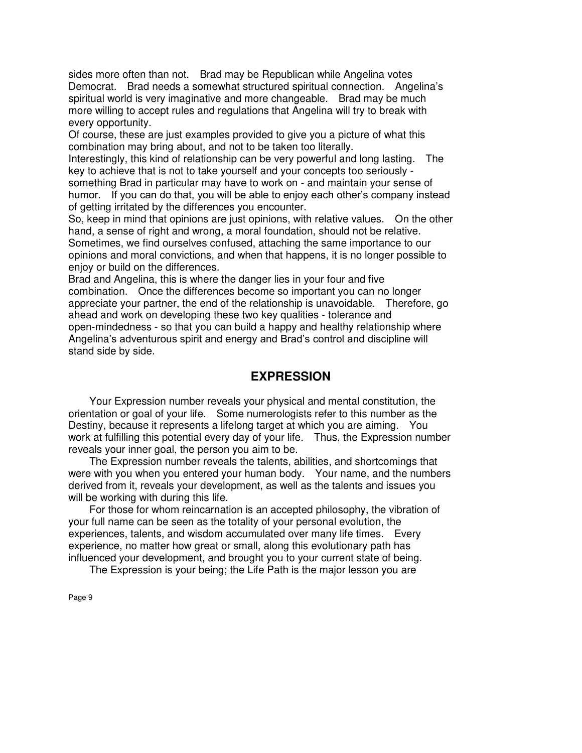sides more often than not. Brad may be Republican while Angelina votes Democrat. Brad needs a somewhat structured spiritual connection. Angelina's spiritual world is very imaginative and more changeable. Brad may be much more willing to accept rules and regulations that Angelina will try to break with every opportunity.

Of course, these are just examples provided to give you a picture of what this combination may bring about, and not to be taken too literally.

Interestingly, this kind of relationship can be very powerful and long lasting. The key to achieve that is not to take yourself and your concepts too seriously something Brad in particular may have to work on - and maintain your sense of humor. If you can do that, you will be able to enjoy each other's company instead of getting irritated by the differences you encounter.

So, keep in mind that opinions are just opinions, with relative values. On the other hand, a sense of right and wrong, a moral foundation, should not be relative. Sometimes, we find ourselves confused, attaching the same importance to our opinions and moral convictions, and when that happens, it is no longer possible to enjoy or build on the differences.

Brad and Angelina, this is where the danger lies in your four and five combination. Once the differences become so important you can no longer appreciate your partner, the end of the relationship is unavoidable. Therefore, go ahead and work on developing these two key qualities - tolerance and open-mindedness - so that you can build a happy and healthy relationship where Angelina's adventurous spirit and energy and Brad's control and discipline will stand side by side.

# **EXPRESSION**

 Your Expression number reveals your physical and mental constitution, the orientation or goal of your life. Some numerologists refer to this number as the Destiny, because it represents a lifelong target at which you are aiming. You work at fulfilling this potential every day of your life. Thus, the Expression number reveals your inner goal, the person you aim to be.

 The Expression number reveals the talents, abilities, and shortcomings that were with you when you entered your human body. Your name, and the numbers derived from it, reveals your development, as well as the talents and issues you will be working with during this life.

 For those for whom reincarnation is an accepted philosophy, the vibration of your full name can be seen as the totality of your personal evolution, the experiences, talents, and wisdom accumulated over many life times. Every experience, no matter how great or small, along this evolutionary path has influenced your development, and brought you to your current state of being.

The Expression is your being; the Life Path is the major lesson you are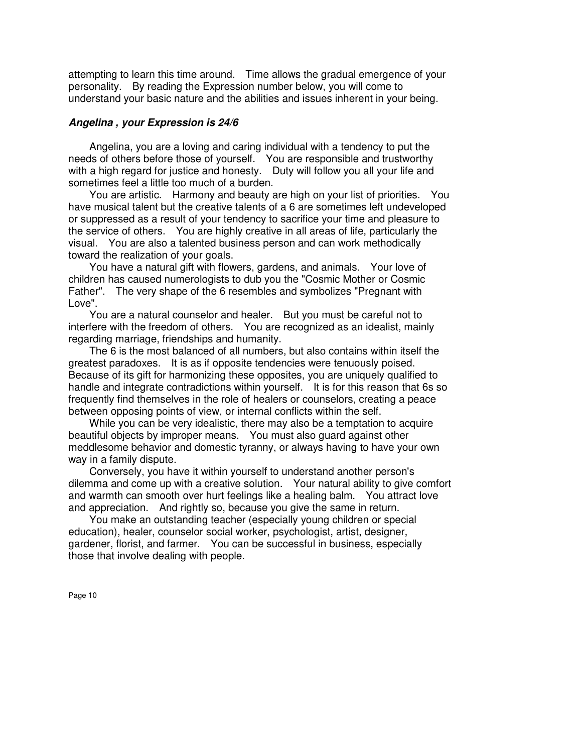attempting to learn this time around. Time allows the gradual emergence of your personality. By reading the Expression number below, you will come to understand your basic nature and the abilities and issues inherent in your being.

#### *Angelina , your Expression is 24/6*

 Angelina, you are a loving and caring individual with a tendency to put the needs of others before those of yourself. You are responsible and trustworthy with a high regard for justice and honesty. Duty will follow you all your life and sometimes feel a little too much of a burden.

 You are artistic. Harmony and beauty are high on your list of priorities. You have musical talent but the creative talents of a 6 are sometimes left undeveloped or suppressed as a result of your tendency to sacrifice your time and pleasure to the service of others. You are highly creative in all areas of life, particularly the visual. You are also a talented business person and can work methodically toward the realization of your goals.

 You have a natural gift with flowers, gardens, and animals. Your love of children has caused numerologists to dub you the "Cosmic Mother or Cosmic Father". The very shape of the 6 resembles and symbolizes "Pregnant with Love".

 You are a natural counselor and healer. But you must be careful not to interfere with the freedom of others. You are recognized as an idealist, mainly regarding marriage, friendships and humanity.

 The 6 is the most balanced of all numbers, but also contains within itself the greatest paradoxes. It is as if opposite tendencies were tenuously poised. Because of its gift for harmonizing these opposites, you are uniquely qualified to handle and integrate contradictions within yourself. It is for this reason that 6s so frequently find themselves in the role of healers or counselors, creating a peace between opposing points of view, or internal conflicts within the self.

 While you can be very idealistic, there may also be a temptation to acquire beautiful objects by improper means. You must also guard against other meddlesome behavior and domestic tyranny, or always having to have your own way in a family dispute.

 Conversely, you have it within yourself to understand another person's dilemma and come up with a creative solution. Your natural ability to give comfort and warmth can smooth over hurt feelings like a healing balm. You attract love and appreciation. And rightly so, because you give the same in return.

 You make an outstanding teacher (especially young children or special education), healer, counselor social worker, psychologist, artist, designer, gardener, florist, and farmer. You can be successful in business, especially those that involve dealing with people.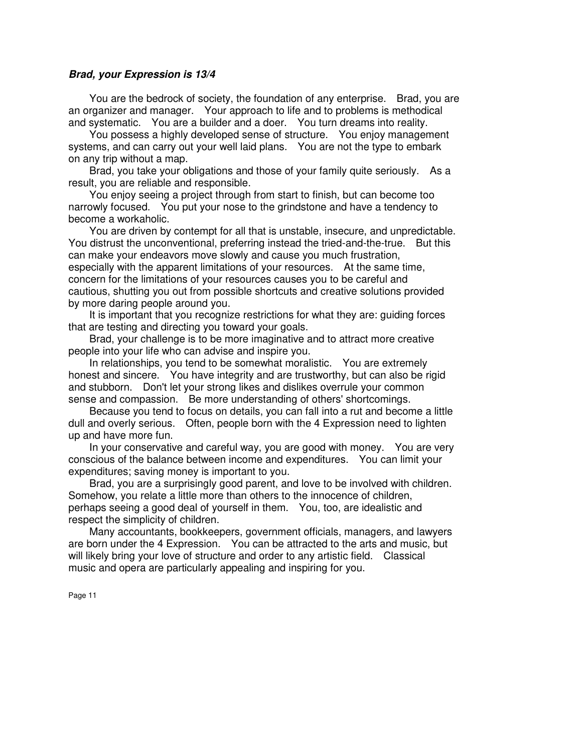#### *Brad, your Expression is 13/4*

 You are the bedrock of society, the foundation of any enterprise. Brad, you are an organizer and manager. Your approach to life and to problems is methodical and systematic. You are a builder and a doer. You turn dreams into reality.

 You possess a highly developed sense of structure. You enjoy management systems, and can carry out your well laid plans. You are not the type to embark on any trip without a map.

 Brad, you take your obligations and those of your family quite seriously. As a result, you are reliable and responsible.

 You enjoy seeing a project through from start to finish, but can become too narrowly focused. You put your nose to the grindstone and have a tendency to become a workaholic.

 You are driven by contempt for all that is unstable, insecure, and unpredictable. You distrust the unconventional, preferring instead the tried-and-the-true. But this can make your endeavors move slowly and cause you much frustration, especially with the apparent limitations of your resources. At the same time, concern for the limitations of your resources causes you to be careful and cautious, shutting you out from possible shortcuts and creative solutions provided by more daring people around you.

 It is important that you recognize restrictions for what they are: guiding forces that are testing and directing you toward your goals.

 Brad, your challenge is to be more imaginative and to attract more creative people into your life who can advise and inspire you.

 In relationships, you tend to be somewhat moralistic. You are extremely honest and sincere. You have integrity and are trustworthy, but can also be rigid and stubborn. Don't let your strong likes and dislikes overrule your common sense and compassion. Be more understanding of others' shortcomings.

 Because you tend to focus on details, you can fall into a rut and become a little dull and overly serious. Often, people born with the 4 Expression need to lighten up and have more fun.

 In your conservative and careful way, you are good with money. You are very conscious of the balance between income and expenditures. You can limit your expenditures; saving money is important to you.

 Brad, you are a surprisingly good parent, and love to be involved with children. Somehow, you relate a little more than others to the innocence of children, perhaps seeing a good deal of yourself in them. You, too, are idealistic and respect the simplicity of children.

 Many accountants, bookkeepers, government officials, managers, and lawyers are born under the 4 Expression. You can be attracted to the arts and music, but will likely bring your love of structure and order to any artistic field. Classical music and opera are particularly appealing and inspiring for you.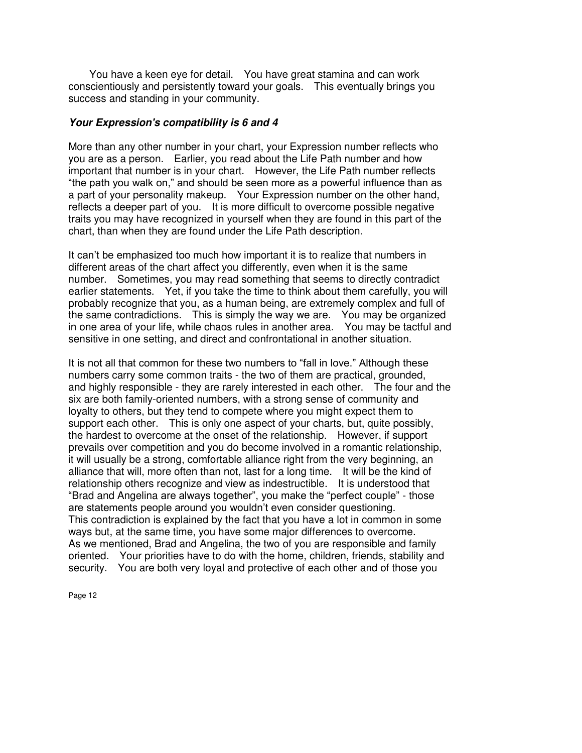You have a keen eye for detail. You have great stamina and can work conscientiously and persistently toward your goals. This eventually brings you success and standing in your community.

## *Your Expression's compatibility is 6 and 4*

More than any other number in your chart, your Expression number reflects who you are as a person. Earlier, you read about the Life Path number and how important that number is in your chart. However, the Life Path number reflects "the path you walk on," and should be seen more as a powerful influence than as a part of your personality makeup. Your Expression number on the other hand, reflects a deeper part of you. It is more difficult to overcome possible negative traits you may have recognized in yourself when they are found in this part of the chart, than when they are found under the Life Path description.

It can't be emphasized too much how important it is to realize that numbers in different areas of the chart affect you differently, even when it is the same number. Sometimes, you may read something that seems to directly contradict earlier statements. Yet, if you take the time to think about them carefully, you will probably recognize that you, as a human being, are extremely complex and full of the same contradictions. This is simply the way we are. You may be organized in one area of your life, while chaos rules in another area. You may be tactful and sensitive in one setting, and direct and confrontational in another situation.

It is not all that common for these two numbers to "fall in love." Although these numbers carry some common traits - the two of them are practical, grounded, and highly responsible - they are rarely interested in each other. The four and the six are both family-oriented numbers, with a strong sense of community and loyalty to others, but they tend to compete where you might expect them to support each other. This is only one aspect of your charts, but, quite possibly, the hardest to overcome at the onset of the relationship. However, if support prevails over competition and you do become involved in a romantic relationship, it will usually be a strong, comfortable alliance right from the very beginning, an alliance that will, more often than not, last for a long time. It will be the kind of relationship others recognize and view as indestructible. It is understood that "Brad and Angelina are always together", you make the "perfect couple" - those are statements people around you wouldn't even consider questioning. This contradiction is explained by the fact that you have a lot in common in some ways but, at the same time, you have some major differences to overcome. As we mentioned, Brad and Angelina, the two of you are responsible and family oriented. Your priorities have to do with the home, children, friends, stability and security. You are both very loyal and protective of each other and of those you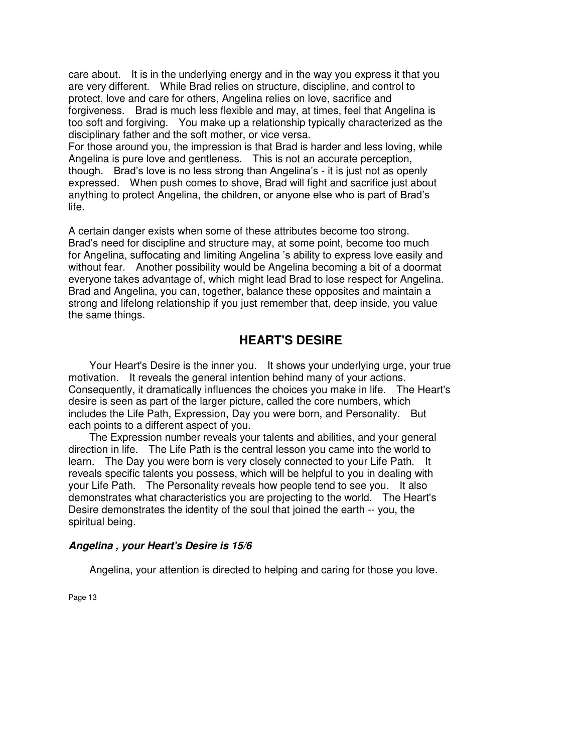care about. It is in the underlying energy and in the way you express it that you are very different. While Brad relies on structure, discipline, and control to protect, love and care for others, Angelina relies on love, sacrifice and forgiveness. Brad is much less flexible and may, at times, feel that Angelina is too soft and forgiving. You make up a relationship typically characterized as the disciplinary father and the soft mother, or vice versa.

For those around you, the impression is that Brad is harder and less loving, while Angelina is pure love and gentleness. This is not an accurate perception, though. Brad's love is no less strong than Angelina's - it is just not as openly expressed. When push comes to shove, Brad will fight and sacrifice just about anything to protect Angelina, the children, or anyone else who is part of Brad's life.

A certain danger exists when some of these attributes become too strong. Brad's need for discipline and structure may, at some point, become too much for Angelina, suffocating and limiting Angelina 's ability to express love easily and without fear. Another possibility would be Angelina becoming a bit of a doormat everyone takes advantage of, which might lead Brad to lose respect for Angelina. Brad and Angelina, you can, together, balance these opposites and maintain a strong and lifelong relationship if you just remember that, deep inside, you value the same things.

# **HEART'S DESIRE**

 Your Heart's Desire is the inner you. It shows your underlying urge, your true motivation. It reveals the general intention behind many of your actions. Consequently, it dramatically influences the choices you make in life. The Heart's desire is seen as part of the larger picture, called the core numbers, which includes the Life Path, Expression, Day you were born, and Personality. But each points to a different aspect of you.

 The Expression number reveals your talents and abilities, and your general direction in life. The Life Path is the central lesson you came into the world to learn. The Day you were born is very closely connected to your Life Path. It reveals specific talents you possess, which will be helpful to you in dealing with your Life Path. The Personality reveals how people tend to see you. It also demonstrates what characteristics you are projecting to the world. The Heart's Desire demonstrates the identity of the soul that joined the earth -- you, the spiritual being.

# *Angelina , your Heart's Desire is 15/6*

Angelina, your attention is directed to helping and caring for those you love.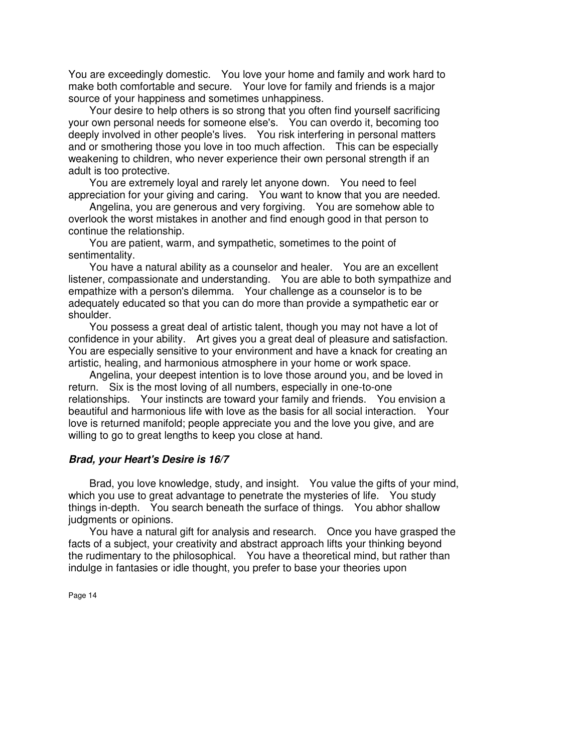You are exceedingly domestic. You love your home and family and work hard to make both comfortable and secure. Your love for family and friends is a major source of your happiness and sometimes unhappiness.

 Your desire to help others is so strong that you often find yourself sacrificing your own personal needs for someone else's. You can overdo it, becoming too deeply involved in other people's lives. You risk interfering in personal matters and or smothering those you love in too much affection. This can be especially weakening to children, who never experience their own personal strength if an adult is too protective.

 You are extremely loyal and rarely let anyone down. You need to feel appreciation for your giving and caring. You want to know that you are needed.

 Angelina, you are generous and very forgiving. You are somehow able to overlook the worst mistakes in another and find enough good in that person to continue the relationship.

 You are patient, warm, and sympathetic, sometimes to the point of sentimentality.

 You have a natural ability as a counselor and healer. You are an excellent listener, compassionate and understanding. You are able to both sympathize and empathize with a person's dilemma. Your challenge as a counselor is to be adequately educated so that you can do more than provide a sympathetic ear or shoulder.

 You possess a great deal of artistic talent, though you may not have a lot of confidence in your ability. Art gives you a great deal of pleasure and satisfaction. You are especially sensitive to your environment and have a knack for creating an artistic, healing, and harmonious atmosphere in your home or work space.

 Angelina, your deepest intention is to love those around you, and be loved in return. Six is the most loving of all numbers, especially in one-to-one relationships. Your instincts are toward your family and friends. You envision a beautiful and harmonious life with love as the basis for all social interaction. Your love is returned manifold; people appreciate you and the love you give, and are willing to go to great lengths to keep you close at hand.

#### *Brad, your Heart's Desire is 16/7*

 Brad, you love knowledge, study, and insight. You value the gifts of your mind, which you use to great advantage to penetrate the mysteries of life. You study things in-depth. You search beneath the surface of things. You abhor shallow judgments or opinions.

 You have a natural gift for analysis and research. Once you have grasped the facts of a subject, your creativity and abstract approach lifts your thinking beyond the rudimentary to the philosophical. You have a theoretical mind, but rather than indulge in fantasies or idle thought, you prefer to base your theories upon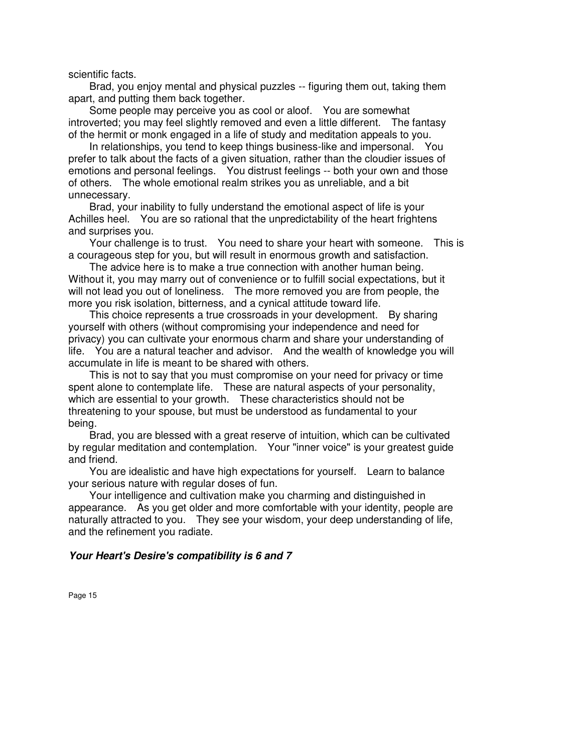scientific facts.

 Brad, you enjoy mental and physical puzzles -- figuring them out, taking them apart, and putting them back together.

 Some people may perceive you as cool or aloof. You are somewhat introverted; you may feel slightly removed and even a little different. The fantasy of the hermit or monk engaged in a life of study and meditation appeals to you.

 In relationships, you tend to keep things business-like and impersonal. You prefer to talk about the facts of a given situation, rather than the cloudier issues of emotions and personal feelings. You distrust feelings -- both your own and those of others. The whole emotional realm strikes you as unreliable, and a bit unnecessary.

 Brad, your inability to fully understand the emotional aspect of life is your Achilles heel. You are so rational that the unpredictability of the heart frightens and surprises you.

 Your challenge is to trust. You need to share your heart with someone. This is a courageous step for you, but will result in enormous growth and satisfaction.

 The advice here is to make a true connection with another human being. Without it, you may marry out of convenience or to fulfill social expectations, but it will not lead you out of loneliness. The more removed you are from people, the more you risk isolation, bitterness, and a cynical attitude toward life.

 This choice represents a true crossroads in your development. By sharing yourself with others (without compromising your independence and need for privacy) you can cultivate your enormous charm and share your understanding of life. You are a natural teacher and advisor. And the wealth of knowledge you will accumulate in life is meant to be shared with others.

 This is not to say that you must compromise on your need for privacy or time spent alone to contemplate life. These are natural aspects of your personality, which are essential to your growth. These characteristics should not be threatening to your spouse, but must be understood as fundamental to your being.

 Brad, you are blessed with a great reserve of intuition, which can be cultivated by regular meditation and contemplation. Your "inner voice" is your greatest guide and friend.

 You are idealistic and have high expectations for yourself. Learn to balance your serious nature with regular doses of fun.

 Your intelligence and cultivation make you charming and distinguished in appearance. As you get older and more comfortable with your identity, people are naturally attracted to you. They see your wisdom, your deep understanding of life, and the refinement you radiate.

#### *Your Heart's Desire's compatibility is 6 and 7*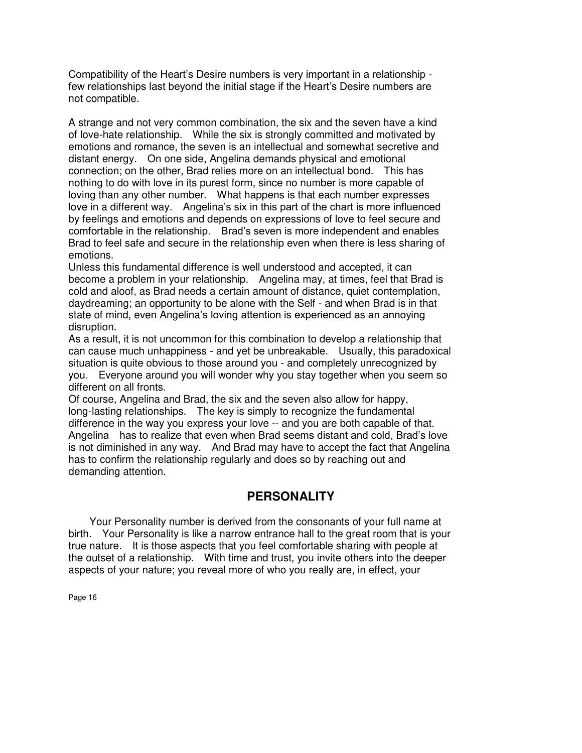Compatibility of the Heart's Desire numbers is very important in a relationship few relationships last beyond the initial stage if the Heart's Desire numbers are not compatible.

A strange and not very common combination, the six and the seven have a kind of love-hate relationship. While the six is strongly committed and motivated by emotions and romance, the seven is an intellectual and somewhat secretive and distant energy. On one side, Angelina demands physical and emotional connection; on the other, Brad relies more on an intellectual bond. This has nothing to do with love in its purest form, since no number is more capable of loving than any other number. What happens is that each number expresses love in a different way. Angelina's six in this part of the chart is more influenced by feelings and emotions and depends on expressions of love to feel secure and comfortable in the relationship. Brad's seven is more independent and enables Brad to feel safe and secure in the relationship even when there is less sharing of emotions.

Unless this fundamental difference is well understood and accepted, it can become a problem in your relationship. Angelina may, at times, feel that Brad is cold and aloof, as Brad needs a certain amount of distance, quiet contemplation, daydreaming; an opportunity to be alone with the Self - and when Brad is in that state of mind, even Angelina's loving attention is experienced as an annoying disruption.

As a result, it is not uncommon for this combination to develop a relationship that can cause much unhappiness - and yet be unbreakable. Usually, this paradoxical situation is quite obvious to those around you - and completely unrecognized by you. Everyone around you will wonder why you stay together when you seem so different on all fronts.

Of course, Angelina and Brad, the six and the seven also allow for happy, long-lasting relationships. The key is simply to recognize the fundamental difference in the way you express your love -- and you are both capable of that. Angelina has to realize that even when Brad seems distant and cold, Brad's love is not diminished in any way. And Brad may have to accept the fact that Angelina has to confirm the relationship regularly and does so by reaching out and demanding attention.

# **PERSONALITY**

 Your Personality number is derived from the consonants of your full name at birth. Your Personality is like a narrow entrance hall to the great room that is your true nature. It is those aspects that you feel comfortable sharing with people at the outset of a relationship. With time and trust, you invite others into the deeper aspects of your nature; you reveal more of who you really are, in effect, your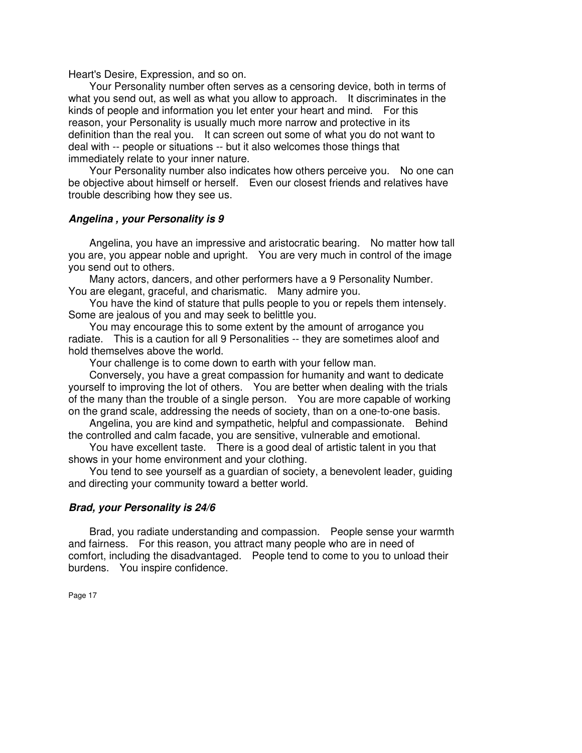Heart's Desire, Expression, and so on.

 Your Personality number often serves as a censoring device, both in terms of what you send out, as well as what you allow to approach. It discriminates in the kinds of people and information you let enter your heart and mind. For this reason, your Personality is usually much more narrow and protective in its definition than the real you. It can screen out some of what you do not want to deal with -- people or situations -- but it also welcomes those things that immediately relate to your inner nature.

 Your Personality number also indicates how others perceive you. No one can be objective about himself or herself. Even our closest friends and relatives have trouble describing how they see us.

#### *Angelina , your Personality is 9*

 Angelina, you have an impressive and aristocratic bearing. No matter how tall you are, you appear noble and upright. You are very much in control of the image you send out to others.

 Many actors, dancers, and other performers have a 9 Personality Number. You are elegant, graceful, and charismatic. Many admire you.

 You have the kind of stature that pulls people to you or repels them intensely. Some are jealous of you and may seek to belittle you.

 You may encourage this to some extent by the amount of arrogance you radiate. This is a caution for all 9 Personalities -- they are sometimes aloof and hold themselves above the world.

Your challenge is to come down to earth with your fellow man.

 Conversely, you have a great compassion for humanity and want to dedicate yourself to improving the lot of others. You are better when dealing with the trials of the many than the trouble of a single person. You are more capable of working on the grand scale, addressing the needs of society, than on a one-to-one basis.

 Angelina, you are kind and sympathetic, helpful and compassionate. Behind the controlled and calm facade, you are sensitive, vulnerable and emotional.

 You have excellent taste. There is a good deal of artistic talent in you that shows in your home environment and your clothing.

 You tend to see yourself as a guardian of society, a benevolent leader, guiding and directing your community toward a better world.

#### *Brad, your Personality is 24/6*

 Brad, you radiate understanding and compassion. People sense your warmth and fairness. For this reason, you attract many people who are in need of comfort, including the disadvantaged. People tend to come to you to unload their burdens. You inspire confidence.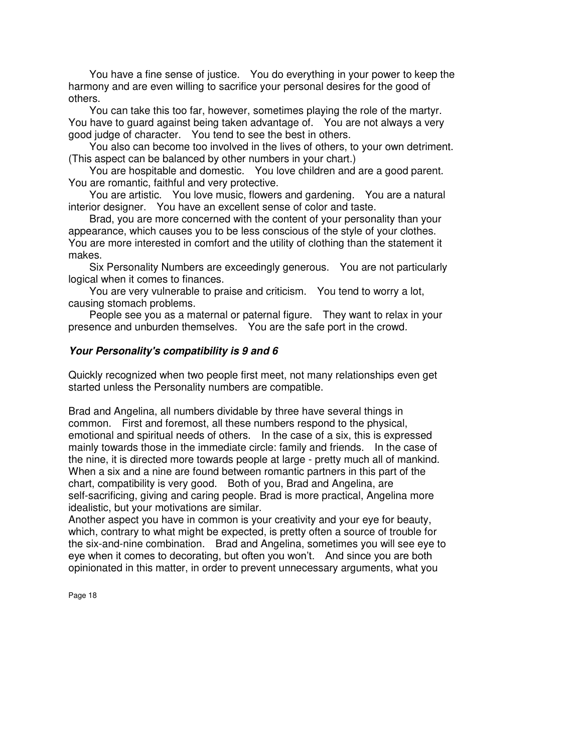You have a fine sense of justice. You do everything in your power to keep the harmony and are even willing to sacrifice your personal desires for the good of others.

 You can take this too far, however, sometimes playing the role of the martyr. You have to guard against being taken advantage of. You are not always a very good judge of character. You tend to see the best in others.

 You also can become too involved in the lives of others, to your own detriment. (This aspect can be balanced by other numbers in your chart.)

 You are hospitable and domestic. You love children and are a good parent. You are romantic, faithful and very protective.

 You are artistic. You love music, flowers and gardening. You are a natural interior designer. You have an excellent sense of color and taste.

 Brad, you are more concerned with the content of your personality than your appearance, which causes you to be less conscious of the style of your clothes. You are more interested in comfort and the utility of clothing than the statement it makes.

 Six Personality Numbers are exceedingly generous. You are not particularly logical when it comes to finances.

 You are very vulnerable to praise and criticism. You tend to worry a lot, causing stomach problems.

 People see you as a maternal or paternal figure. They want to relax in your presence and unburden themselves. You are the safe port in the crowd.

#### *Your Personality's compatibility is 9 and 6*

Quickly recognized when two people first meet, not many relationships even get started unless the Personality numbers are compatible.

Brad and Angelina, all numbers dividable by three have several things in common. First and foremost, all these numbers respond to the physical, emotional and spiritual needs of others. In the case of a six, this is expressed mainly towards those in the immediate circle: family and friends. In the case of the nine, it is directed more towards people at large - pretty much all of mankind. When a six and a nine are found between romantic partners in this part of the chart, compatibility is very good. Both of you, Brad and Angelina, are self-sacrificing, giving and caring people. Brad is more practical, Angelina more idealistic, but your motivations are similar.

Another aspect you have in common is your creativity and your eye for beauty, which, contrary to what might be expected, is pretty often a source of trouble for the six-and-nine combination. Brad and Angelina, sometimes you will see eye to eye when it comes to decorating, but often you won't. And since you are both opinionated in this matter, in order to prevent unnecessary arguments, what you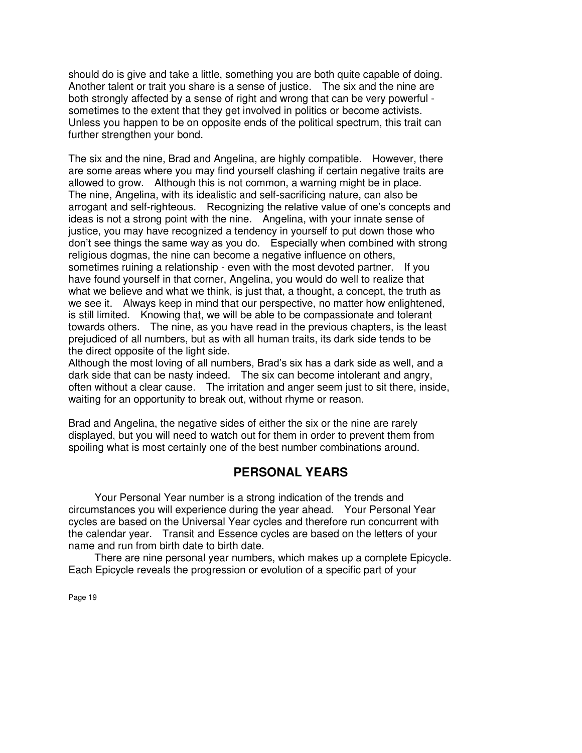should do is give and take a little, something you are both quite capable of doing. Another talent or trait you share is a sense of justice. The six and the nine are both strongly affected by a sense of right and wrong that can be very powerful sometimes to the extent that they get involved in politics or become activists. Unless you happen to be on opposite ends of the political spectrum, this trait can further strengthen your bond.

The six and the nine, Brad and Angelina, are highly compatible. However, there are some areas where you may find yourself clashing if certain negative traits are allowed to grow. Although this is not common, a warning might be in place. The nine, Angelina, with its idealistic and self-sacrificing nature, can also be arrogant and self-righteous. Recognizing the relative value of one's concepts and ideas is not a strong point with the nine. Angelina, with your innate sense of justice, you may have recognized a tendency in yourself to put down those who don't see things the same way as you do. Especially when combined with strong religious dogmas, the nine can become a negative influence on others, sometimes ruining a relationship - even with the most devoted partner. If you have found yourself in that corner, Angelina, you would do well to realize that what we believe and what we think, is just that, a thought, a concept, the truth as we see it. Always keep in mind that our perspective, no matter how enlightened, is still limited. Knowing that, we will be able to be compassionate and tolerant towards others. The nine, as you have read in the previous chapters, is the least prejudiced of all numbers, but as with all human traits, its dark side tends to be the direct opposite of the light side.

Although the most loving of all numbers, Brad's six has a dark side as well, and a dark side that can be nasty indeed. The six can become intolerant and angry, often without a clear cause. The irritation and anger seem just to sit there, inside, waiting for an opportunity to break out, without rhyme or reason.

Brad and Angelina, the negative sides of either the six or the nine are rarely displayed, but you will need to watch out for them in order to prevent them from spoiling what is most certainly one of the best number combinations around.

# **PERSONAL YEARS**

 Your Personal Year number is a strong indication of the trends and circumstances you will experience during the year ahead. Your Personal Year cycles are based on the Universal Year cycles and therefore run concurrent with the calendar year. Transit and Essence cycles are based on the letters of your name and run from birth date to birth date.

 There are nine personal year numbers, which makes up a complete Epicycle. Each Epicycle reveals the progression or evolution of a specific part of your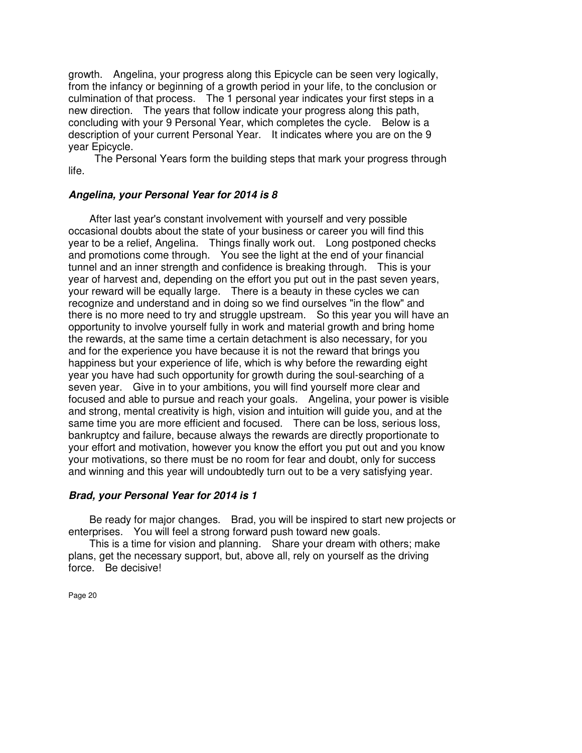growth. Angelina, your progress along this Epicycle can be seen very logically, from the infancy or beginning of a growth period in your life, to the conclusion or culmination of that process. The 1 personal year indicates your first steps in a new direction. The years that follow indicate your progress along this path, concluding with your 9 Personal Year, which completes the cycle. Below is a description of your current Personal Year. It indicates where you are on the 9 year Epicycle.

 The Personal Years form the building steps that mark your progress through life.

## *Angelina, your Personal Year for 2014 is 8*

 After last year's constant involvement with yourself and very possible occasional doubts about the state of your business or career you will find this year to be a relief, Angelina. Things finally work out. Long postponed checks and promotions come through. You see the light at the end of your financial tunnel and an inner strength and confidence is breaking through. This is your year of harvest and, depending on the effort you put out in the past seven years, your reward will be equally large. There is a beauty in these cycles we can recognize and understand and in doing so we find ourselves "in the flow" and there is no more need to try and struggle upstream. So this year you will have an opportunity to involve yourself fully in work and material growth and bring home the rewards, at the same time a certain detachment is also necessary, for you and for the experience you have because it is not the reward that brings you happiness but your experience of life, which is why before the rewarding eight year you have had such opportunity for growth during the soul-searching of a seven year. Give in to your ambitions, you will find yourself more clear and focused and able to pursue and reach your goals. Angelina, your power is visible and strong, mental creativity is high, vision and intuition will guide you, and at the same time you are more efficient and focused. There can be loss, serious loss, bankruptcy and failure, because always the rewards are directly proportionate to your effort and motivation, however you know the effort you put out and you know your motivations, so there must be no room for fear and doubt, only for success and winning and this year will undoubtedly turn out to be a very satisfying year.

#### *Brad, your Personal Year for 2014 is 1*

 Be ready for major changes. Brad, you will be inspired to start new projects or enterprises. You will feel a strong forward push toward new goals.

 This is a time for vision and planning. Share your dream with others; make plans, get the necessary support, but, above all, rely on yourself as the driving force. Be decisive!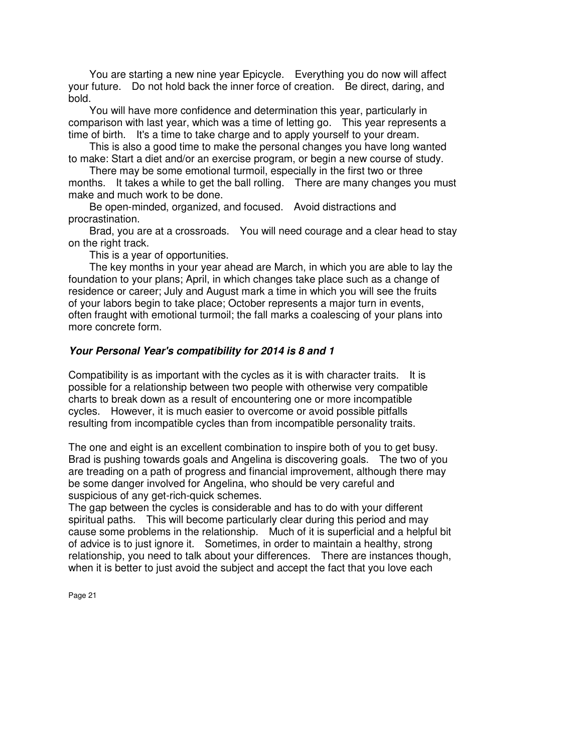You are starting a new nine year Epicycle. Everything you do now will affect your future. Do not hold back the inner force of creation. Be direct, daring, and bold.

 You will have more confidence and determination this year, particularly in comparison with last year, which was a time of letting go. This year represents a time of birth. It's a time to take charge and to apply yourself to your dream.

 This is also a good time to make the personal changes you have long wanted to make: Start a diet and/or an exercise program, or begin a new course of study.

 There may be some emotional turmoil, especially in the first two or three months. It takes a while to get the ball rolling. There are many changes you must make and much work to be done.

 Be open-minded, organized, and focused. Avoid distractions and procrastination.

 Brad, you are at a crossroads. You will need courage and a clear head to stay on the right track.

This is a year of opportunities.

 The key months in your year ahead are March, in which you are able to lay the foundation to your plans; April, in which changes take place such as a change of residence or career; July and August mark a time in which you will see the fruits of your labors begin to take place; October represents a major turn in events, often fraught with emotional turmoil; the fall marks a coalescing of your plans into more concrete form.

## *Your Personal Year's compatibility for 2014 is 8 and 1*

Compatibility is as important with the cycles as it is with character traits. It is possible for a relationship between two people with otherwise very compatible charts to break down as a result of encountering one or more incompatible cycles. However, it is much easier to overcome or avoid possible pitfalls resulting from incompatible cycles than from incompatible personality traits.

The one and eight is an excellent combination to inspire both of you to get busy. Brad is pushing towards goals and Angelina is discovering goals. The two of you are treading on a path of progress and financial improvement, although there may be some danger involved for Angelina, who should be very careful and suspicious of any get-rich-quick schemes.

The gap between the cycles is considerable and has to do with your different spiritual paths. This will become particularly clear during this period and may cause some problems in the relationship. Much of it is superficial and a helpful bit of advice is to just ignore it. Sometimes, in order to maintain a healthy, strong relationship, you need to talk about your differences. There are instances though, when it is better to just avoid the subject and accept the fact that you love each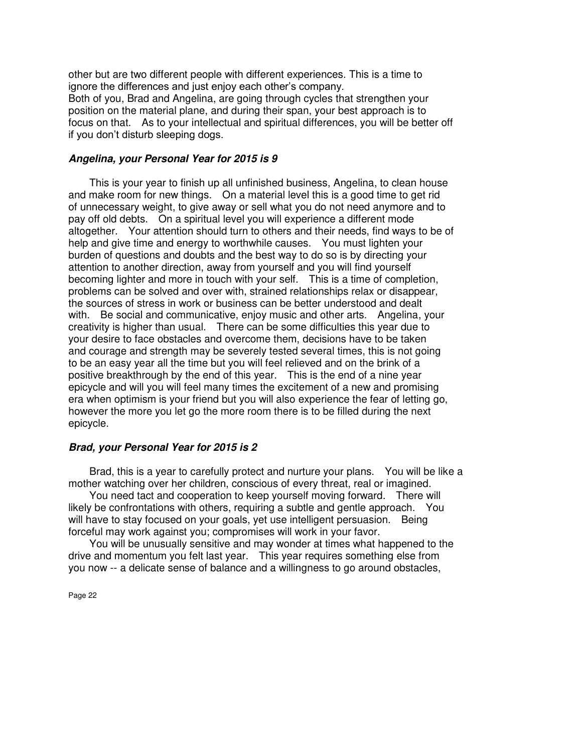other but are two different people with different experiences. This is a time to ignore the differences and just enjoy each other's company. Both of you, Brad and Angelina, are going through cycles that strengthen your position on the material plane, and during their span, your best approach is to focus on that. As to your intellectual and spiritual differences, you will be better off if you don't disturb sleeping dogs.

#### *Angelina, your Personal Year for 2015 is 9*

 This is your year to finish up all unfinished business, Angelina, to clean house and make room for new things. On a material level this is a good time to get rid of unnecessary weight, to give away or sell what you do not need anymore and to pay off old debts. On a spiritual level you will experience a different mode altogether. Your attention should turn to others and their needs, find ways to be of help and give time and energy to worthwhile causes. You must lighten your burden of questions and doubts and the best way to do so is by directing your attention to another direction, away from yourself and you will find yourself becoming lighter and more in touch with your self. This is a time of completion, problems can be solved and over with, strained relationships relax or disappear, the sources of stress in work or business can be better understood and dealt with. Be social and communicative, enjoy music and other arts. Angelina, your creativity is higher than usual. There can be some difficulties this year due to your desire to face obstacles and overcome them, decisions have to be taken and courage and strength may be severely tested several times, this is not going to be an easy year all the time but you will feel relieved and on the brink of a positive breakthrough by the end of this year. This is the end of a nine year epicycle and will you will feel many times the excitement of a new and promising era when optimism is your friend but you will also experience the fear of letting go, however the more you let go the more room there is to be filled during the next epicycle.

#### *Brad, your Personal Year for 2015 is 2*

 Brad, this is a year to carefully protect and nurture your plans. You will be like a mother watching over her children, conscious of every threat, real or imagined.

 You need tact and cooperation to keep yourself moving forward. There will likely be confrontations with others, requiring a subtle and gentle approach. You will have to stay focused on your goals, yet use intelligent persuasion. Being forceful may work against you; compromises will work in your favor.

 You will be unusually sensitive and may wonder at times what happened to the drive and momentum you felt last year. This year requires something else from you now -- a delicate sense of balance and a willingness to go around obstacles,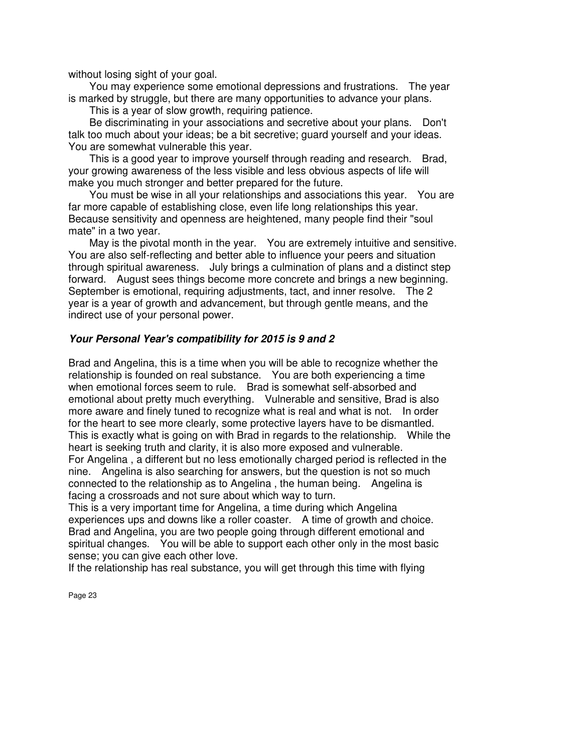without losing sight of your goal.

 You may experience some emotional depressions and frustrations. The year is marked by struggle, but there are many opportunities to advance your plans.

This is a year of slow growth, requiring patience.

 Be discriminating in your associations and secretive about your plans. Don't talk too much about your ideas; be a bit secretive; guard yourself and your ideas. You are somewhat vulnerable this year.

 This is a good year to improve yourself through reading and research. Brad, your growing awareness of the less visible and less obvious aspects of life will make you much stronger and better prepared for the future.

 You must be wise in all your relationships and associations this year. You are far more capable of establishing close, even life long relationships this year. Because sensitivity and openness are heightened, many people find their "soul mate" in a two year.

 May is the pivotal month in the year. You are extremely intuitive and sensitive. You are also self-reflecting and better able to influence your peers and situation through spiritual awareness. July brings a culmination of plans and a distinct step forward. August sees things become more concrete and brings a new beginning. September is emotional, requiring adjustments, tact, and inner resolve. The 2 year is a year of growth and advancement, but through gentle means, and the indirect use of your personal power.

## *Your Personal Year's compatibility for 2015 is 9 and 2*

Brad and Angelina, this is a time when you will be able to recognize whether the relationship is founded on real substance. You are both experiencing a time when emotional forces seem to rule. Brad is somewhat self-absorbed and emotional about pretty much everything. Vulnerable and sensitive, Brad is also more aware and finely tuned to recognize what is real and what is not. In order for the heart to see more clearly, some protective layers have to be dismantled. This is exactly what is going on with Brad in regards to the relationship. While the heart is seeking truth and clarity, it is also more exposed and vulnerable. For Angelina , a different but no less emotionally charged period is reflected in the nine. Angelina is also searching for answers, but the question is not so much connected to the relationship as to Angelina , the human being. Angelina is facing a crossroads and not sure about which way to turn.

This is a very important time for Angelina, a time during which Angelina experiences ups and downs like a roller coaster. A time of growth and choice. Brad and Angelina, you are two people going through different emotional and spiritual changes. You will be able to support each other only in the most basic sense; you can give each other love.

If the relationship has real substance, you will get through this time with flying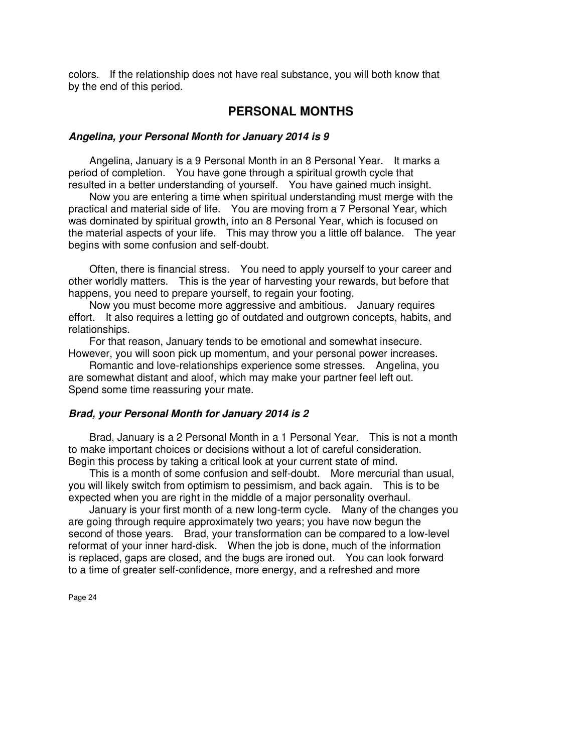colors. If the relationship does not have real substance, you will both know that by the end of this period.

# **PERSONAL MONTHS**

#### *Angelina, your Personal Month for January 2014 is 9*

 Angelina, January is a 9 Personal Month in an 8 Personal Year. It marks a period of completion. You have gone through a spiritual growth cycle that resulted in a better understanding of yourself. You have gained much insight.

 Now you are entering a time when spiritual understanding must merge with the practical and material side of life. You are moving from a 7 Personal Year, which was dominated by spiritual growth, into an 8 Personal Year, which is focused on the material aspects of your life. This may throw you a little off balance. The year begins with some confusion and self-doubt.

 Often, there is financial stress. You need to apply yourself to your career and other worldly matters. This is the year of harvesting your rewards, but before that happens, you need to prepare yourself, to regain your footing.

 Now you must become more aggressive and ambitious. January requires effort. It also requires a letting go of outdated and outgrown concepts, habits, and relationships.

 For that reason, January tends to be emotional and somewhat insecure. However, you will soon pick up momentum, and your personal power increases.

 Romantic and love-relationships experience some stresses. Angelina, you are somewhat distant and aloof, which may make your partner feel left out. Spend some time reassuring your mate.

#### *Brad, your Personal Month for January 2014 is 2*

 Brad, January is a 2 Personal Month in a 1 Personal Year. This is not a month to make important choices or decisions without a lot of careful consideration. Begin this process by taking a critical look at your current state of mind.

 This is a month of some confusion and self-doubt. More mercurial than usual, you will likely switch from optimism to pessimism, and back again. This is to be expected when you are right in the middle of a major personality overhaul.

 January is your first month of a new long-term cycle. Many of the changes you are going through require approximately two years; you have now begun the second of those years. Brad, your transformation can be compared to a low-level reformat of your inner hard-disk. When the job is done, much of the information is replaced, gaps are closed, and the bugs are ironed out. You can look forward to a time of greater self-confidence, more energy, and a refreshed and more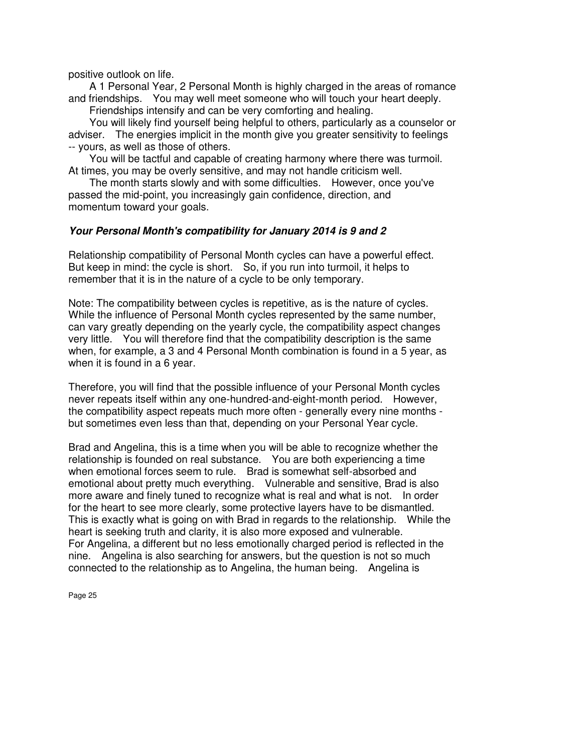positive outlook on life.

 A 1 Personal Year, 2 Personal Month is highly charged in the areas of romance and friendships. You may well meet someone who will touch your heart deeply.

Friendships intensify and can be very comforting and healing.

 You will likely find yourself being helpful to others, particularly as a counselor or adviser. The energies implicit in the month give you greater sensitivity to feelings -- yours, as well as those of others.

 You will be tactful and capable of creating harmony where there was turmoil. At times, you may be overly sensitive, and may not handle criticism well.

 The month starts slowly and with some difficulties. However, once you've passed the mid-point, you increasingly gain confidence, direction, and momentum toward your goals.

#### *Your Personal Month's compatibility for January 2014 is 9 and 2*

Relationship compatibility of Personal Month cycles can have a powerful effect. But keep in mind: the cycle is short. So, if you run into turmoil, it helps to remember that it is in the nature of a cycle to be only temporary.

Note: The compatibility between cycles is repetitive, as is the nature of cycles. While the influence of Personal Month cycles represented by the same number, can vary greatly depending on the yearly cycle, the compatibility aspect changes very little. You will therefore find that the compatibility description is the same when, for example, a 3 and 4 Personal Month combination is found in a 5 year, as when it is found in a 6 year.

Therefore, you will find that the possible influence of your Personal Month cycles never repeats itself within any one-hundred-and-eight-month period. However, the compatibility aspect repeats much more often - generally every nine months but sometimes even less than that, depending on your Personal Year cycle.

Brad and Angelina, this is a time when you will be able to recognize whether the relationship is founded on real substance. You are both experiencing a time when emotional forces seem to rule. Brad is somewhat self-absorbed and emotional about pretty much everything. Vulnerable and sensitive, Brad is also more aware and finely tuned to recognize what is real and what is not. In order for the heart to see more clearly, some protective layers have to be dismantled. This is exactly what is going on with Brad in regards to the relationship. While the heart is seeking truth and clarity, it is also more exposed and vulnerable. For Angelina, a different but no less emotionally charged period is reflected in the nine. Angelina is also searching for answers, but the question is not so much connected to the relationship as to Angelina, the human being. Angelina is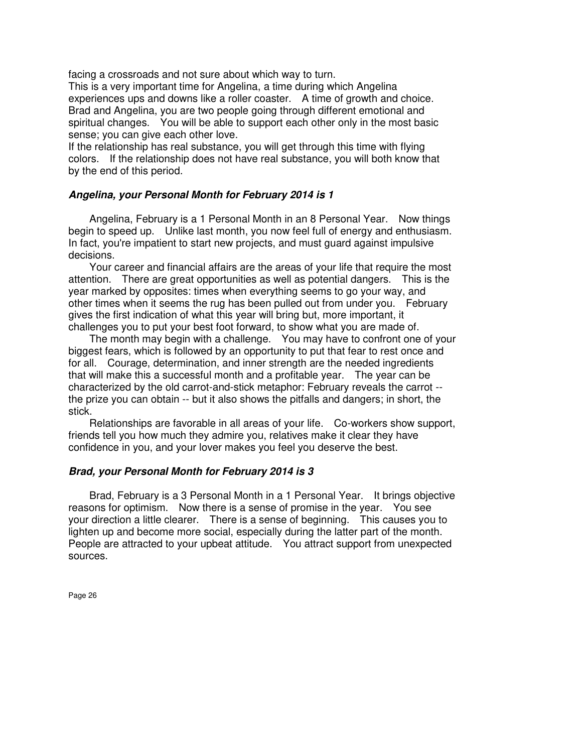facing a crossroads and not sure about which way to turn.

This is a very important time for Angelina, a time during which Angelina experiences ups and downs like a roller coaster. A time of growth and choice. Brad and Angelina, you are two people going through different emotional and spiritual changes. You will be able to support each other only in the most basic sense; you can give each other love.

If the relationship has real substance, you will get through this time with flying colors. If the relationship does not have real substance, you will both know that by the end of this period.

#### *Angelina, your Personal Month for February 2014 is 1*

 Angelina, February is a 1 Personal Month in an 8 Personal Year. Now things begin to speed up. Unlike last month, you now feel full of energy and enthusiasm. In fact, you're impatient to start new projects, and must guard against impulsive decisions.

 Your career and financial affairs are the areas of your life that require the most attention. There are great opportunities as well as potential dangers. This is the year marked by opposites: times when everything seems to go your way, and other times when it seems the rug has been pulled out from under you. February gives the first indication of what this year will bring but, more important, it challenges you to put your best foot forward, to show what you are made of.

 The month may begin with a challenge. You may have to confront one of your biggest fears, which is followed by an opportunity to put that fear to rest once and for all. Courage, determination, and inner strength are the needed ingredients that will make this a successful month and a profitable year. The year can be characterized by the old carrot-and-stick metaphor: February reveals the carrot - the prize you can obtain -- but it also shows the pitfalls and dangers; in short, the stick.

 Relationships are favorable in all areas of your life. Co-workers show support, friends tell you how much they admire you, relatives make it clear they have confidence in you, and your lover makes you feel you deserve the best.

#### *Brad, your Personal Month for February 2014 is 3*

 Brad, February is a 3 Personal Month in a 1 Personal Year. It brings objective reasons for optimism. Now there is a sense of promise in the year. You see your direction a little clearer. There is a sense of beginning. This causes you to lighten up and become more social, especially during the latter part of the month. People are attracted to your upbeat attitude. You attract support from unexpected sources.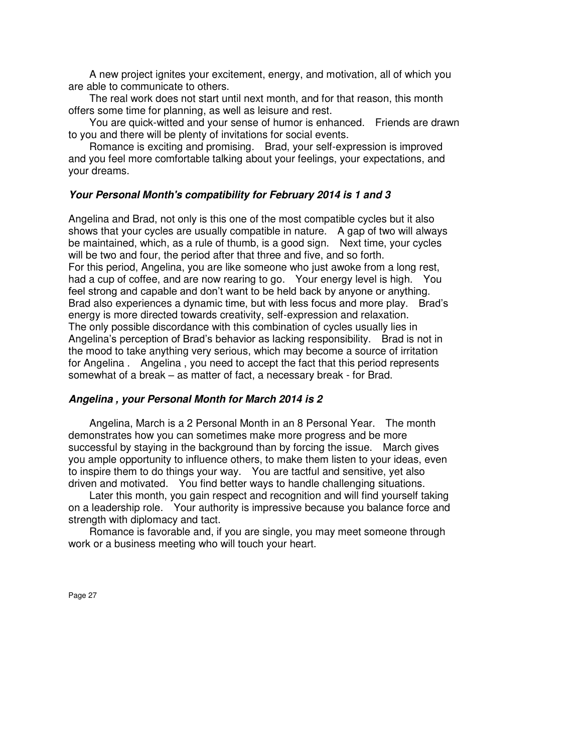A new project ignites your excitement, energy, and motivation, all of which you are able to communicate to others.

 The real work does not start until next month, and for that reason, this month offers some time for planning, as well as leisure and rest.

 You are quick-witted and your sense of humor is enhanced. Friends are drawn to you and there will be plenty of invitations for social events.

 Romance is exciting and promising. Brad, your self-expression is improved and you feel more comfortable talking about your feelings, your expectations, and your dreams.

#### *Your Personal Month's compatibility for February 2014 is 1 and 3*

Angelina and Brad, not only is this one of the most compatible cycles but it also shows that your cycles are usually compatible in nature. A gap of two will always be maintained, which, as a rule of thumb, is a good sign. Next time, your cycles will be two and four, the period after that three and five, and so forth. For this period, Angelina, you are like someone who just awoke from a long rest, had a cup of coffee, and are now rearing to go. Your energy level is high. You feel strong and capable and don't want to be held back by anyone or anything. Brad also experiences a dynamic time, but with less focus and more play. Brad's energy is more directed towards creativity, self-expression and relaxation. The only possible discordance with this combination of cycles usually lies in Angelina's perception of Brad's behavior as lacking responsibility. Brad is not in the mood to take anything very serious, which may become a source of irritation for Angelina . Angelina , you need to accept the fact that this period represents somewhat of a break – as matter of fact, a necessary break - for Brad.

#### *Angelina , your Personal Month for March 2014 is 2*

 Angelina, March is a 2 Personal Month in an 8 Personal Year. The month demonstrates how you can sometimes make more progress and be more successful by staying in the background than by forcing the issue. March gives you ample opportunity to influence others, to make them listen to your ideas, even to inspire them to do things your way. You are tactful and sensitive, yet also driven and motivated. You find better ways to handle challenging situations.

 Later this month, you gain respect and recognition and will find yourself taking on a leadership role. Your authority is impressive because you balance force and strength with diplomacy and tact.

 Romance is favorable and, if you are single, you may meet someone through work or a business meeting who will touch your heart.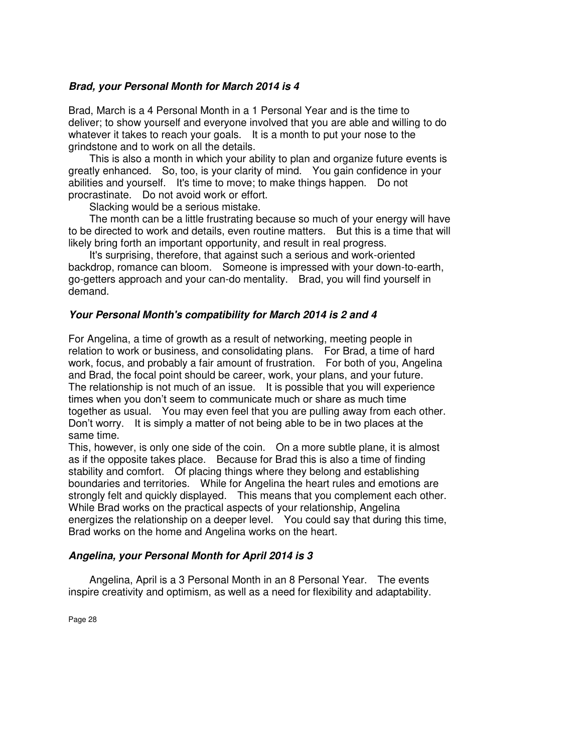## *Brad, your Personal Month for March 2014 is 4*

Brad, March is a 4 Personal Month in a 1 Personal Year and is the time to deliver; to show yourself and everyone involved that you are able and willing to do whatever it takes to reach your goals. It is a month to put your nose to the grindstone and to work on all the details.

 This is also a month in which your ability to plan and organize future events is greatly enhanced. So, too, is your clarity of mind. You gain confidence in your abilities and yourself. It's time to move; to make things happen. Do not procrastinate. Do not avoid work or effort.

Slacking would be a serious mistake.

 The month can be a little frustrating because so much of your energy will have to be directed to work and details, even routine matters. But this is a time that will likely bring forth an important opportunity, and result in real progress.

 It's surprising, therefore, that against such a serious and work-oriented backdrop, romance can bloom. Someone is impressed with your down-to-earth, go-getters approach and your can-do mentality. Brad, you will find yourself in demand.

#### *Your Personal Month's compatibility for March 2014 is 2 and 4*

For Angelina, a time of growth as a result of networking, meeting people in relation to work or business, and consolidating plans. For Brad, a time of hard work, focus, and probably a fair amount of frustration. For both of you, Angelina and Brad, the focal point should be career, work, your plans, and your future. The relationship is not much of an issue. It is possible that you will experience times when you don't seem to communicate much or share as much time together as usual. You may even feel that you are pulling away from each other. Don't worry. It is simply a matter of not being able to be in two places at the same time.

This, however, is only one side of the coin. On a more subtle plane, it is almost as if the opposite takes place. Because for Brad this is also a time of finding stability and comfort. Of placing things where they belong and establishing boundaries and territories. While for Angelina the heart rules and emotions are strongly felt and quickly displayed. This means that you complement each other. While Brad works on the practical aspects of your relationship, Angelina energizes the relationship on a deeper level. You could say that during this time, Brad works on the home and Angelina works on the heart.

#### *Angelina, your Personal Month for April 2014 is 3*

 Angelina, April is a 3 Personal Month in an 8 Personal Year. The events inspire creativity and optimism, as well as a need for flexibility and adaptability.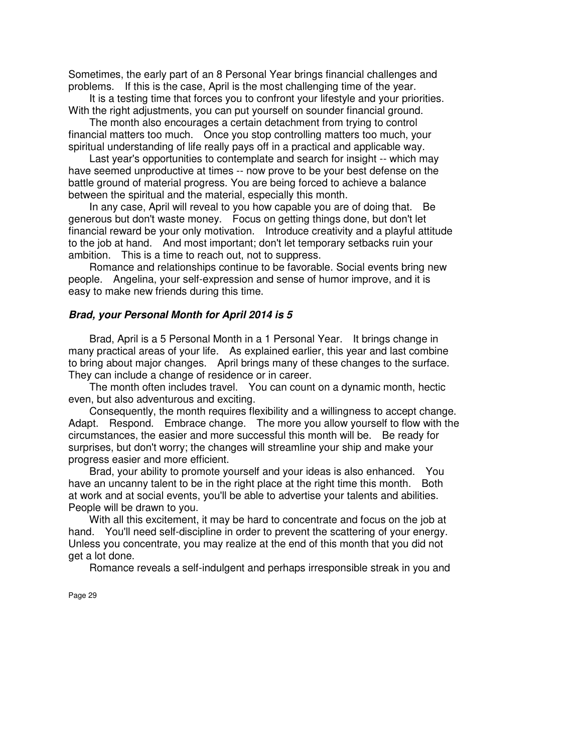Sometimes, the early part of an 8 Personal Year brings financial challenges and problems. If this is the case, April is the most challenging time of the year.

 It is a testing time that forces you to confront your lifestyle and your priorities. With the right adjustments, you can put yourself on sounder financial ground.

 The month also encourages a certain detachment from trying to control financial matters too much. Once you stop controlling matters too much, your spiritual understanding of life really pays off in a practical and applicable way.

 Last year's opportunities to contemplate and search for insight -- which may have seemed unproductive at times -- now prove to be your best defense on the battle ground of material progress. You are being forced to achieve a balance between the spiritual and the material, especially this month.

 In any case, April will reveal to you how capable you are of doing that. Be generous but don't waste money. Focus on getting things done, but don't let financial reward be your only motivation. Introduce creativity and a playful attitude to the job at hand. And most important; don't let temporary setbacks ruin your ambition. This is a time to reach out, not to suppress.

 Romance and relationships continue to be favorable. Social events bring new people. Angelina, your self-expression and sense of humor improve, and it is easy to make new friends during this time.

#### *Brad, your Personal Month for April 2014 is 5*

 Brad, April is a 5 Personal Month in a 1 Personal Year. It brings change in many practical areas of your life. As explained earlier, this year and last combine to bring about major changes. April brings many of these changes to the surface. They can include a change of residence or in career.

 The month often includes travel. You can count on a dynamic month, hectic even, but also adventurous and exciting.

 Consequently, the month requires flexibility and a willingness to accept change. Adapt. Respond. Embrace change. The more you allow yourself to flow with the circumstances, the easier and more successful this month will be. Be ready for surprises, but don't worry; the changes will streamline your ship and make your progress easier and more efficient.

 Brad, your ability to promote yourself and your ideas is also enhanced. You have an uncanny talent to be in the right place at the right time this month. Both at work and at social events, you'll be able to advertise your talents and abilities. People will be drawn to you.

 With all this excitement, it may be hard to concentrate and focus on the job at hand. You'll need self-discipline in order to prevent the scattering of your energy. Unless you concentrate, you may realize at the end of this month that you did not get a lot done.

Romance reveals a self-indulgent and perhaps irresponsible streak in you and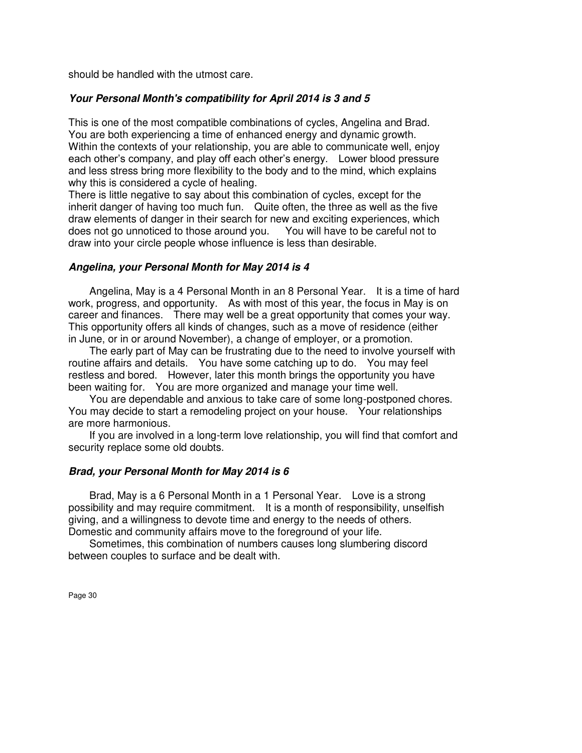should be handled with the utmost care.

#### *Your Personal Month's compatibility for April 2014 is 3 and 5*

This is one of the most compatible combinations of cycles, Angelina and Brad. You are both experiencing a time of enhanced energy and dynamic growth. Within the contexts of your relationship, you are able to communicate well, enjoy each other's company, and play off each other's energy. Lower blood pressure and less stress bring more flexibility to the body and to the mind, which explains why this is considered a cycle of healing.

There is little negative to say about this combination of cycles, except for the inherit danger of having too much fun. Quite often, the three as well as the five draw elements of danger in their search for new and exciting experiences, which does not go unnoticed to those around you. You will have to be careful not to draw into your circle people whose influence is less than desirable.

#### *Angelina, your Personal Month for May 2014 is 4*

 Angelina, May is a 4 Personal Month in an 8 Personal Year. It is a time of hard work, progress, and opportunity. As with most of this year, the focus in May is on career and finances. There may well be a great opportunity that comes your way. This opportunity offers all kinds of changes, such as a move of residence (either in June, or in or around November), a change of employer, or a promotion.

 The early part of May can be frustrating due to the need to involve yourself with routine affairs and details. You have some catching up to do. You may feel restless and bored. However, later this month brings the opportunity you have been waiting for. You are more organized and manage your time well.

 You are dependable and anxious to take care of some long-postponed chores. You may decide to start a remodeling project on your house. Your relationships are more harmonious.

 If you are involved in a long-term love relationship, you will find that comfort and security replace some old doubts.

#### *Brad, your Personal Month for May 2014 is 6*

 Brad, May is a 6 Personal Month in a 1 Personal Year. Love is a strong possibility and may require commitment. It is a month of responsibility, unselfish giving, and a willingness to devote time and energy to the needs of others. Domestic and community affairs move to the foreground of your life.

 Sometimes, this combination of numbers causes long slumbering discord between couples to surface and be dealt with.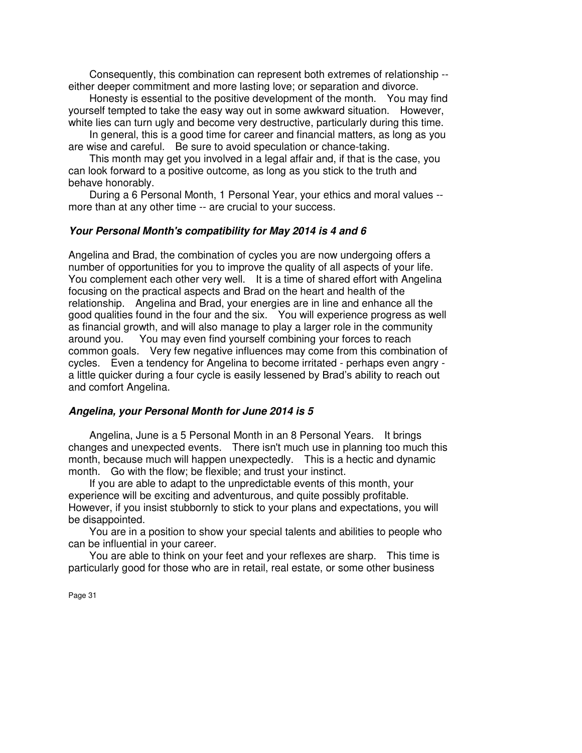Consequently, this combination can represent both extremes of relationship - either deeper commitment and more lasting love; or separation and divorce.

 Honesty is essential to the positive development of the month. You may find yourself tempted to take the easy way out in some awkward situation. However, white lies can turn ugly and become very destructive, particularly during this time.

 In general, this is a good time for career and financial matters, as long as you are wise and careful. Be sure to avoid speculation or chance-taking.

 This month may get you involved in a legal affair and, if that is the case, you can look forward to a positive outcome, as long as you stick to the truth and behave honorably.

 During a 6 Personal Month, 1 Personal Year, your ethics and moral values - more than at any other time -- are crucial to your success.

#### *Your Personal Month's compatibility for May 2014 is 4 and 6*

Angelina and Brad, the combination of cycles you are now undergoing offers a number of opportunities for you to improve the quality of all aspects of your life. You complement each other very well. It is a time of shared effort with Angelina focusing on the practical aspects and Brad on the heart and health of the relationship. Angelina and Brad, your energies are in line and enhance all the good qualities found in the four and the six. You will experience progress as well as financial growth, and will also manage to play a larger role in the community around you. You may even find yourself combining your forces to reach common goals. Very few negative influences may come from this combination of cycles. Even a tendency for Angelina to become irritated - perhaps even angry a little quicker during a four cycle is easily lessened by Brad's ability to reach out and comfort Angelina.

#### *Angelina, your Personal Month for June 2014 is 5*

 Angelina, June is a 5 Personal Month in an 8 Personal Years. It brings changes and unexpected events. There isn't much use in planning too much this month, because much will happen unexpectedly. This is a hectic and dynamic month. Go with the flow; be flexible; and trust your instinct.

 If you are able to adapt to the unpredictable events of this month, your experience will be exciting and adventurous, and quite possibly profitable. However, if you insist stubbornly to stick to your plans and expectations, you will be disappointed.

 You are in a position to show your special talents and abilities to people who can be influential in your career.

 You are able to think on your feet and your reflexes are sharp. This time is particularly good for those who are in retail, real estate, or some other business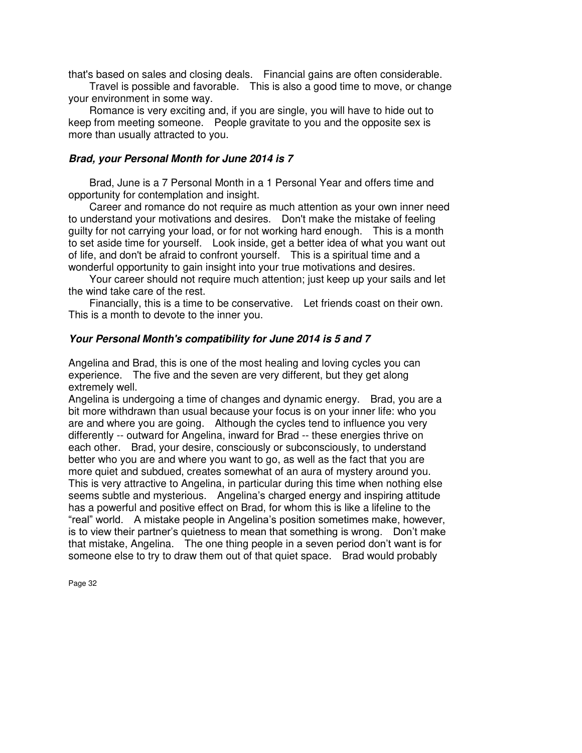that's based on sales and closing deals. Financial gains are often considerable.

 Travel is possible and favorable. This is also a good time to move, or change your environment in some way.

 Romance is very exciting and, if you are single, you will have to hide out to keep from meeting someone. People gravitate to you and the opposite sex is more than usually attracted to you.

### *Brad, your Personal Month for June 2014 is 7*

 Brad, June is a 7 Personal Month in a 1 Personal Year and offers time and opportunity for contemplation and insight.

 Career and romance do not require as much attention as your own inner need to understand your motivations and desires. Don't make the mistake of feeling guilty for not carrying your load, or for not working hard enough. This is a month to set aside time for yourself. Look inside, get a better idea of what you want out of life, and don't be afraid to confront yourself. This is a spiritual time and a wonderful opportunity to gain insight into your true motivations and desires.

 Your career should not require much attention; just keep up your sails and let the wind take care of the rest.

 Financially, this is a time to be conservative. Let friends coast on their own. This is a month to devote to the inner you.

# *Your Personal Month's compatibility for June 2014 is 5 and 7*

Angelina and Brad, this is one of the most healing and loving cycles you can experience. The five and the seven are very different, but they get along extremely well.

Angelina is undergoing a time of changes and dynamic energy. Brad, you are a bit more withdrawn than usual because your focus is on your inner life: who you are and where you are going. Although the cycles tend to influence you very differently -- outward for Angelina, inward for Brad -- these energies thrive on each other. Brad, your desire, consciously or subconsciously, to understand better who you are and where you want to go, as well as the fact that you are more quiet and subdued, creates somewhat of an aura of mystery around you. This is very attractive to Angelina, in particular during this time when nothing else seems subtle and mysterious. Angelina's charged energy and inspiring attitude has a powerful and positive effect on Brad, for whom this is like a lifeline to the "real" world. A mistake people in Angelina's position sometimes make, however, is to view their partner's quietness to mean that something is wrong. Don't make that mistake, Angelina. The one thing people in a seven period don't want is for someone else to try to draw them out of that quiet space. Brad would probably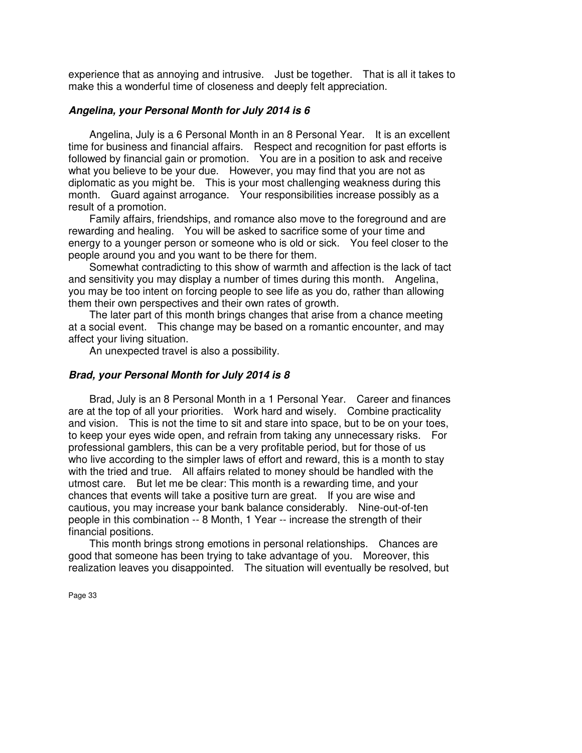experience that as annoying and intrusive. Just be together. That is all it takes to make this a wonderful time of closeness and deeply felt appreciation.

# *Angelina, your Personal Month for July 2014 is 6*

 Angelina, July is a 6 Personal Month in an 8 Personal Year. It is an excellent time for business and financial affairs. Respect and recognition for past efforts is followed by financial gain or promotion. You are in a position to ask and receive what you believe to be your due. However, you may find that you are not as diplomatic as you might be. This is your most challenging weakness during this month. Guard against arrogance. Your responsibilities increase possibly as a result of a promotion.

 Family affairs, friendships, and romance also move to the foreground and are rewarding and healing. You will be asked to sacrifice some of your time and energy to a younger person or someone who is old or sick. You feel closer to the people around you and you want to be there for them.

 Somewhat contradicting to this show of warmth and affection is the lack of tact and sensitivity you may display a number of times during this month. Angelina, you may be too intent on forcing people to see life as you do, rather than allowing them their own perspectives and their own rates of growth.

 The later part of this month brings changes that arise from a chance meeting at a social event. This change may be based on a romantic encounter, and may affect your living situation.

An unexpected travel is also a possibility.

#### *Brad, your Personal Month for July 2014 is 8*

 Brad, July is an 8 Personal Month in a 1 Personal Year. Career and finances are at the top of all your priorities. Work hard and wisely. Combine practicality and vision. This is not the time to sit and stare into space, but to be on your toes, to keep your eyes wide open, and refrain from taking any unnecessary risks. For professional gamblers, this can be a very profitable period, but for those of us who live according to the simpler laws of effort and reward, this is a month to stay with the tried and true. All affairs related to money should be handled with the utmost care. But let me be clear: This month is a rewarding time, and your chances that events will take a positive turn are great. If you are wise and cautious, you may increase your bank balance considerably. Nine-out-of-ten people in this combination -- 8 Month, 1 Year -- increase the strength of their financial positions.

 This month brings strong emotions in personal relationships. Chances are good that someone has been trying to take advantage of you. Moreover, this realization leaves you disappointed. The situation will eventually be resolved, but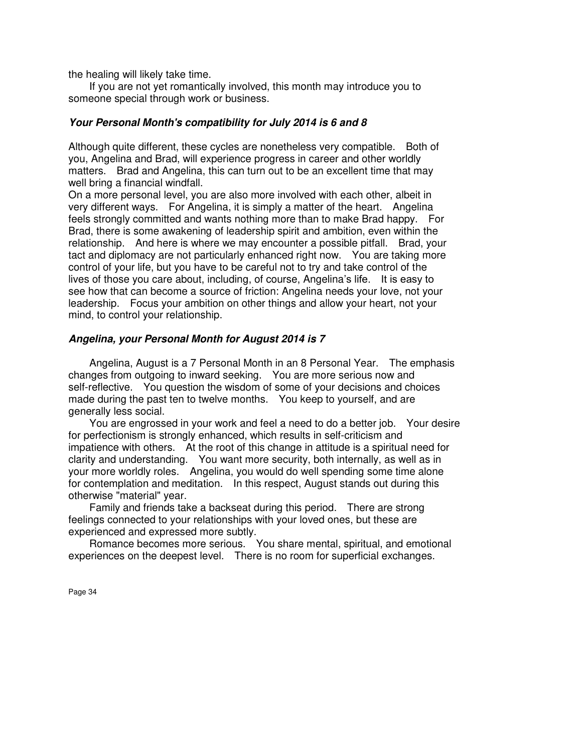the healing will likely take time.

 If you are not yet romantically involved, this month may introduce you to someone special through work or business.

### *Your Personal Month's compatibility for July 2014 is 6 and 8*

Although quite different, these cycles are nonetheless very compatible. Both of you, Angelina and Brad, will experience progress in career and other worldly matters. Brad and Angelina, this can turn out to be an excellent time that may well bring a financial windfall.

On a more personal level, you are also more involved with each other, albeit in very different ways. For Angelina, it is simply a matter of the heart. Angelina feels strongly committed and wants nothing more than to make Brad happy. For Brad, there is some awakening of leadership spirit and ambition, even within the relationship. And here is where we may encounter a possible pitfall. Brad, your tact and diplomacy are not particularly enhanced right now. You are taking more control of your life, but you have to be careful not to try and take control of the lives of those you care about, including, of course, Angelina's life. It is easy to see how that can become a source of friction: Angelina needs your love, not your leadership. Focus your ambition on other things and allow your heart, not your mind, to control your relationship.

## *Angelina, your Personal Month for August 2014 is 7*

 Angelina, August is a 7 Personal Month in an 8 Personal Year. The emphasis changes from outgoing to inward seeking. You are more serious now and self-reflective. You question the wisdom of some of your decisions and choices made during the past ten to twelve months. You keep to yourself, and are generally less social.

 You are engrossed in your work and feel a need to do a better job. Your desire for perfectionism is strongly enhanced, which results in self-criticism and impatience with others. At the root of this change in attitude is a spiritual need for clarity and understanding. You want more security, both internally, as well as in your more worldly roles. Angelina, you would do well spending some time alone for contemplation and meditation. In this respect, August stands out during this otherwise "material" year.

 Family and friends take a backseat during this period. There are strong feelings connected to your relationships with your loved ones, but these are experienced and expressed more subtly.

 Romance becomes more serious. You share mental, spiritual, and emotional experiences on the deepest level. There is no room for superficial exchanges.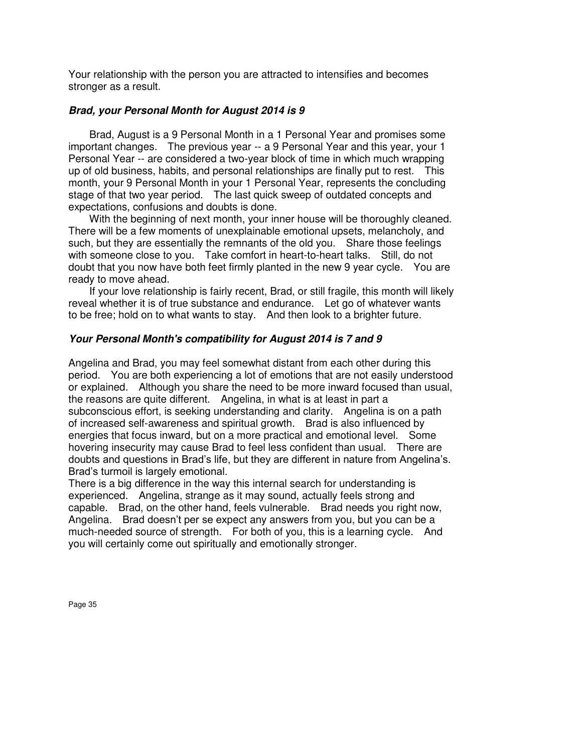Your relationship with the person you are attracted to intensifies and becomes stronger as a result.

# *Brad, your Personal Month for August 2014 is 9*

 Brad, August is a 9 Personal Month in a 1 Personal Year and promises some important changes. The previous year -- a 9 Personal Year and this year, your 1 Personal Year -- are considered a two-year block of time in which much wrapping up of old business, habits, and personal relationships are finally put to rest. This month, your 9 Personal Month in your 1 Personal Year, represents the concluding stage of that two year period. The last quick sweep of outdated concepts and expectations, confusions and doubts is done.

 With the beginning of next month, your inner house will be thoroughly cleaned. There will be a few moments of unexplainable emotional upsets, melancholy, and such, but they are essentially the remnants of the old you. Share those feelings with someone close to you. Take comfort in heart-to-heart talks. Still, do not doubt that you now have both feet firmly planted in the new 9 year cycle. You are ready to move ahead.

 If your love relationship is fairly recent, Brad, or still fragile, this month will likely reveal whether it is of true substance and endurance. Let go of whatever wants to be free; hold on to what wants to stay. And then look to a brighter future.

# *Your Personal Month's compatibility for August 2014 is 7 and 9*

Angelina and Brad, you may feel somewhat distant from each other during this period. You are both experiencing a lot of emotions that are not easily understood or explained. Although you share the need to be more inward focused than usual, the reasons are quite different. Angelina, in what is at least in part a subconscious effort, is seeking understanding and clarity. Angelina is on a path of increased self-awareness and spiritual growth. Brad is also influenced by energies that focus inward, but on a more practical and emotional level. Some hovering insecurity may cause Brad to feel less confident than usual. There are doubts and questions in Brad's life, but they are different in nature from Angelina's. Brad's turmoil is largely emotional.

There is a big difference in the way this internal search for understanding is experienced. Angelina, strange as it may sound, actually feels strong and capable. Brad, on the other hand, feels vulnerable. Brad needs you right now, Angelina. Brad doesn't per se expect any answers from you, but you can be a much-needed source of strength. For both of you, this is a learning cycle. And you will certainly come out spiritually and emotionally stronger.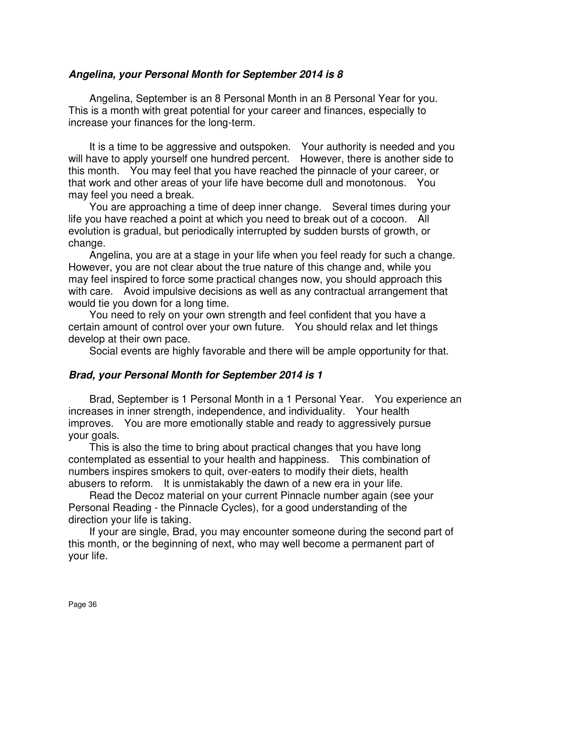#### *Angelina, your Personal Month for September 2014 is 8*

 Angelina, September is an 8 Personal Month in an 8 Personal Year for you. This is a month with great potential for your career and finances, especially to increase your finances for the long-term.

 It is a time to be aggressive and outspoken. Your authority is needed and you will have to apply yourself one hundred percent. However, there is another side to this month. You may feel that you have reached the pinnacle of your career, or that work and other areas of your life have become dull and monotonous. You may feel you need a break.

 You are approaching a time of deep inner change. Several times during your life you have reached a point at which you need to break out of a cocoon. All evolution is gradual, but periodically interrupted by sudden bursts of growth, or change.

 Angelina, you are at a stage in your life when you feel ready for such a change. However, you are not clear about the true nature of this change and, while you may feel inspired to force some practical changes now, you should approach this with care. Avoid impulsive decisions as well as any contractual arrangement that would tie you down for a long time.

 You need to rely on your own strength and feel confident that you have a certain amount of control over your own future. You should relax and let things develop at their own pace.

Social events are highly favorable and there will be ample opportunity for that.

#### *Brad, your Personal Month for September 2014 is 1*

 Brad, September is 1 Personal Month in a 1 Personal Year. You experience an increases in inner strength, independence, and individuality. Your health improves. You are more emotionally stable and ready to aggressively pursue your goals.

 This is also the time to bring about practical changes that you have long contemplated as essential to your health and happiness. This combination of numbers inspires smokers to quit, over-eaters to modify their diets, health abusers to reform. It is unmistakably the dawn of a new era in your life.

 Read the Decoz material on your current Pinnacle number again (see your Personal Reading - the Pinnacle Cycles), for a good understanding of the direction your life is taking.

 If your are single, Brad, you may encounter someone during the second part of this month, or the beginning of next, who may well become a permanent part of your life.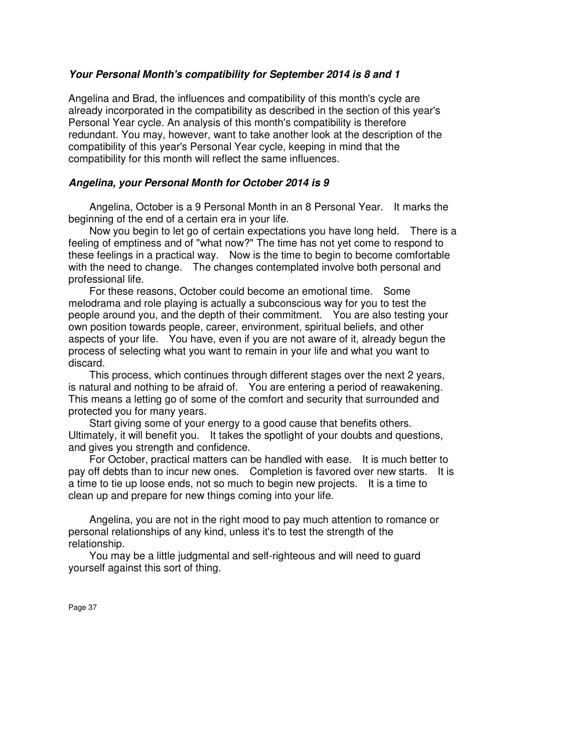#### *Your Personal Month's compatibility for September 2014 is 8 and 1*

Angelina and Brad, the influences and compatibility of this month's cycle are already incorporated in the compatibility as described in the section of this year's Personal Year cycle. An analysis of this month's compatibility is therefore redundant. You may, however, want to take another look at the description of the compatibility of this year's Personal Year cycle, keeping in mind that the compatibility for this month will reflect the same influences.

#### *Angelina, your Personal Month for October 2014 is 9*

 Angelina, October is a 9 Personal Month in an 8 Personal Year. It marks the beginning of the end of a certain era in your life.

 Now you begin to let go of certain expectations you have long held. There is a feeling of emptiness and of "what now?" The time has not yet come to respond to these feelings in a practical way. Now is the time to begin to become comfortable with the need to change. The changes contemplated involve both personal and professional life.

 For these reasons, October could become an emotional time. Some melodrama and role playing is actually a subconscious way for you to test the people around you, and the depth of their commitment. You are also testing your own position towards people, career, environment, spiritual beliefs, and other aspects of your life. You have, even if you are not aware of it, already begun the process of selecting what you want to remain in your life and what you want to discard.

 This process, which continues through different stages over the next 2 years, is natural and nothing to be afraid of. You are entering a period of reawakening. This means a letting go of some of the comfort and security that surrounded and protected you for many years.

 Start giving some of your energy to a good cause that benefits others. Ultimately, it will benefit you. It takes the spotlight of your doubts and questions, and gives you strength and confidence.

 For October, practical matters can be handled with ease. It is much better to pay off debts than to incur new ones. Completion is favored over new starts. It is a time to tie up loose ends, not so much to begin new projects. It is a time to clean up and prepare for new things coming into your life.

 Angelina, you are not in the right mood to pay much attention to romance or personal relationships of any kind, unless it's to test the strength of the relationship.

 You may be a little judgmental and self-righteous and will need to guard yourself against this sort of thing.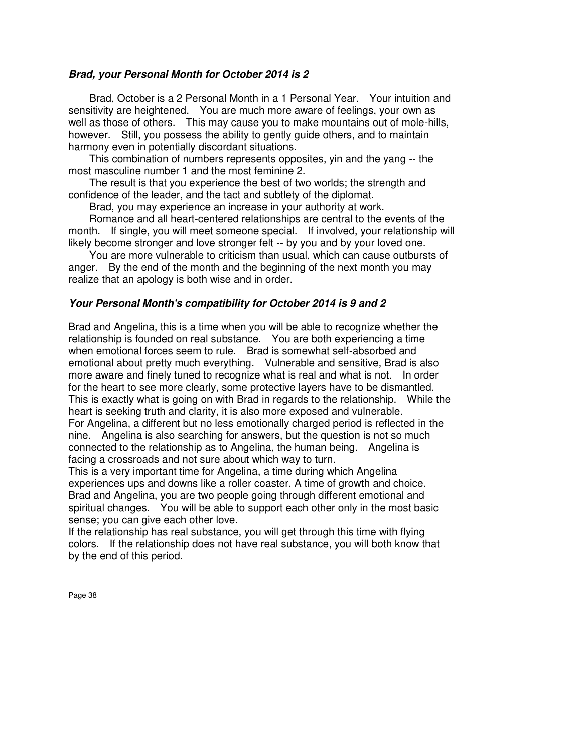## *Brad, your Personal Month for October 2014 is 2*

 Brad, October is a 2 Personal Month in a 1 Personal Year. Your intuition and sensitivity are heightened. You are much more aware of feelings, your own as well as those of others. This may cause you to make mountains out of mole-hills, however. Still, you possess the ability to gently guide others, and to maintain harmony even in potentially discordant situations.

 This combination of numbers represents opposites, yin and the yang -- the most masculine number 1 and the most feminine 2.

 The result is that you experience the best of two worlds; the strength and confidence of the leader, and the tact and subtlety of the diplomat.

Brad, you may experience an increase in your authority at work.

 Romance and all heart-centered relationships are central to the events of the month. If single, you will meet someone special. If involved, your relationship will likely become stronger and love stronger felt -- by you and by your loved one.

 You are more vulnerable to criticism than usual, which can cause outbursts of anger. By the end of the month and the beginning of the next month you may realize that an apology is both wise and in order.

#### *Your Personal Month's compatibility for October 2014 is 9 and 2*

Brad and Angelina, this is a time when you will be able to recognize whether the relationship is founded on real substance. You are both experiencing a time when emotional forces seem to rule. Brad is somewhat self-absorbed and emotional about pretty much everything. Vulnerable and sensitive, Brad is also more aware and finely tuned to recognize what is real and what is not. In order for the heart to see more clearly, some protective layers have to be dismantled. This is exactly what is going on with Brad in regards to the relationship. While the heart is seeking truth and clarity, it is also more exposed and vulnerable. For Angelina, a different but no less emotionally charged period is reflected in the nine. Angelina is also searching for answers, but the question is not so much connected to the relationship as to Angelina, the human being. Angelina is facing a crossroads and not sure about which way to turn.

This is a very important time for Angelina, a time during which Angelina experiences ups and downs like a roller coaster. A time of growth and choice. Brad and Angelina, you are two people going through different emotional and spiritual changes. You will be able to support each other only in the most basic sense; you can give each other love.

If the relationship has real substance, you will get through this time with flying colors. If the relationship does not have real substance, you will both know that by the end of this period.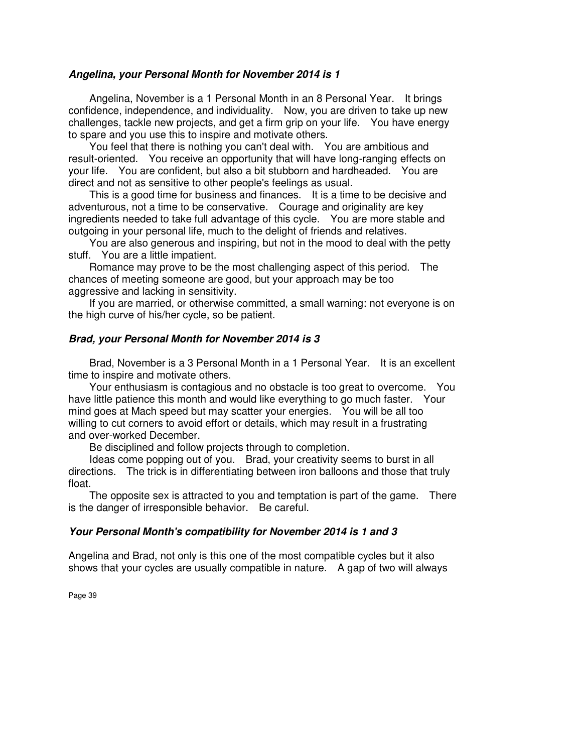#### *Angelina, your Personal Month for November 2014 is 1*

 Angelina, November is a 1 Personal Month in an 8 Personal Year. It brings confidence, independence, and individuality. Now, you are driven to take up new challenges, tackle new projects, and get a firm grip on your life. You have energy to spare and you use this to inspire and motivate others.

 You feel that there is nothing you can't deal with. You are ambitious and result-oriented. You receive an opportunity that will have long-ranging effects on your life. You are confident, but also a bit stubborn and hardheaded. You are direct and not as sensitive to other people's feelings as usual.

 This is a good time for business and finances. It is a time to be decisive and adventurous, not a time to be conservative. Courage and originality are key ingredients needed to take full advantage of this cycle. You are more stable and outgoing in your personal life, much to the delight of friends and relatives.

 You are also generous and inspiring, but not in the mood to deal with the petty stuff. You are a little impatient.

 Romance may prove to be the most challenging aspect of this period. The chances of meeting someone are good, but your approach may be too aggressive and lacking in sensitivity.

 If you are married, or otherwise committed, a small warning: not everyone is on the high curve of his/her cycle, so be patient.

#### *Brad, your Personal Month for November 2014 is 3*

 Brad, November is a 3 Personal Month in a 1 Personal Year. It is an excellent time to inspire and motivate others.

 Your enthusiasm is contagious and no obstacle is too great to overcome. You have little patience this month and would like everything to go much faster. Your mind goes at Mach speed but may scatter your energies. You will be all too willing to cut corners to avoid effort or details, which may result in a frustrating and over-worked December.

Be disciplined and follow projects through to completion.

 Ideas come popping out of you. Brad, your creativity seems to burst in all directions. The trick is in differentiating between iron balloons and those that truly float.

 The opposite sex is attracted to you and temptation is part of the game. There is the danger of irresponsible behavior. Be careful.

#### *Your Personal Month's compatibility for November 2014 is 1 and 3*

Angelina and Brad, not only is this one of the most compatible cycles but it also shows that your cycles are usually compatible in nature. A gap of two will always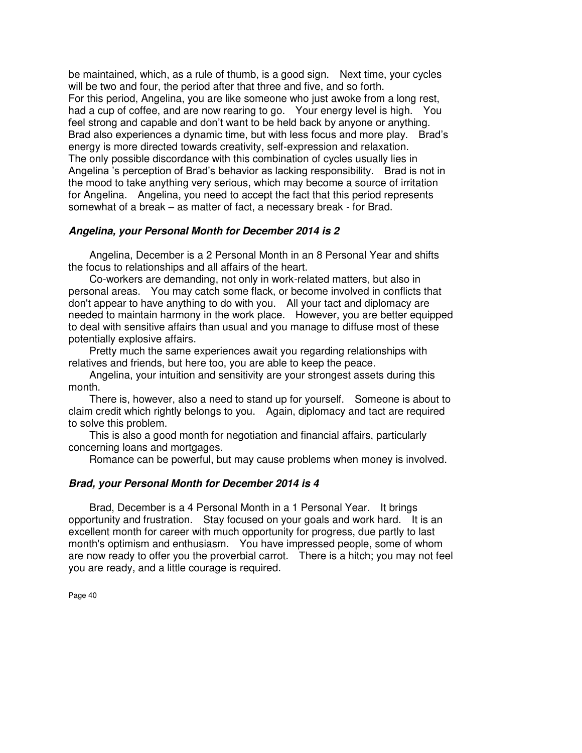be maintained, which, as a rule of thumb, is a good sign. Next time, your cycles will be two and four, the period after that three and five, and so forth. For this period, Angelina, you are like someone who just awoke from a long rest, had a cup of coffee, and are now rearing to go. Your energy level is high. You feel strong and capable and don't want to be held back by anyone or anything. Brad also experiences a dynamic time, but with less focus and more play. Brad's energy is more directed towards creativity, self-expression and relaxation. The only possible discordance with this combination of cycles usually lies in Angelina 's perception of Brad's behavior as lacking responsibility. Brad is not in the mood to take anything very serious, which may become a source of irritation for Angelina. Angelina, you need to accept the fact that this period represents somewhat of a break – as matter of fact, a necessary break - for Brad.

#### *Angelina, your Personal Month for December 2014 is 2*

 Angelina, December is a 2 Personal Month in an 8 Personal Year and shifts the focus to relationships and all affairs of the heart.

 Co-workers are demanding, not only in work-related matters, but also in personal areas. You may catch some flack, or become involved in conflicts that don't appear to have anything to do with you. All your tact and diplomacy are needed to maintain harmony in the work place. However, you are better equipped to deal with sensitive affairs than usual and you manage to diffuse most of these potentially explosive affairs.

 Pretty much the same experiences await you regarding relationships with relatives and friends, but here too, you are able to keep the peace.

 Angelina, your intuition and sensitivity are your strongest assets during this month.

 There is, however, also a need to stand up for yourself. Someone is about to claim credit which rightly belongs to you. Again, diplomacy and tact are required to solve this problem.

 This is also a good month for negotiation and financial affairs, particularly concerning loans and mortgages.

Romance can be powerful, but may cause problems when money is involved.

#### *Brad, your Personal Month for December 2014 is 4*

 Brad, December is a 4 Personal Month in a 1 Personal Year. It brings opportunity and frustration. Stay focused on your goals and work hard. It is an excellent month for career with much opportunity for progress, due partly to last month's optimism and enthusiasm. You have impressed people, some of whom are now ready to offer you the proverbial carrot. There is a hitch; you may not feel you are ready, and a little courage is required.